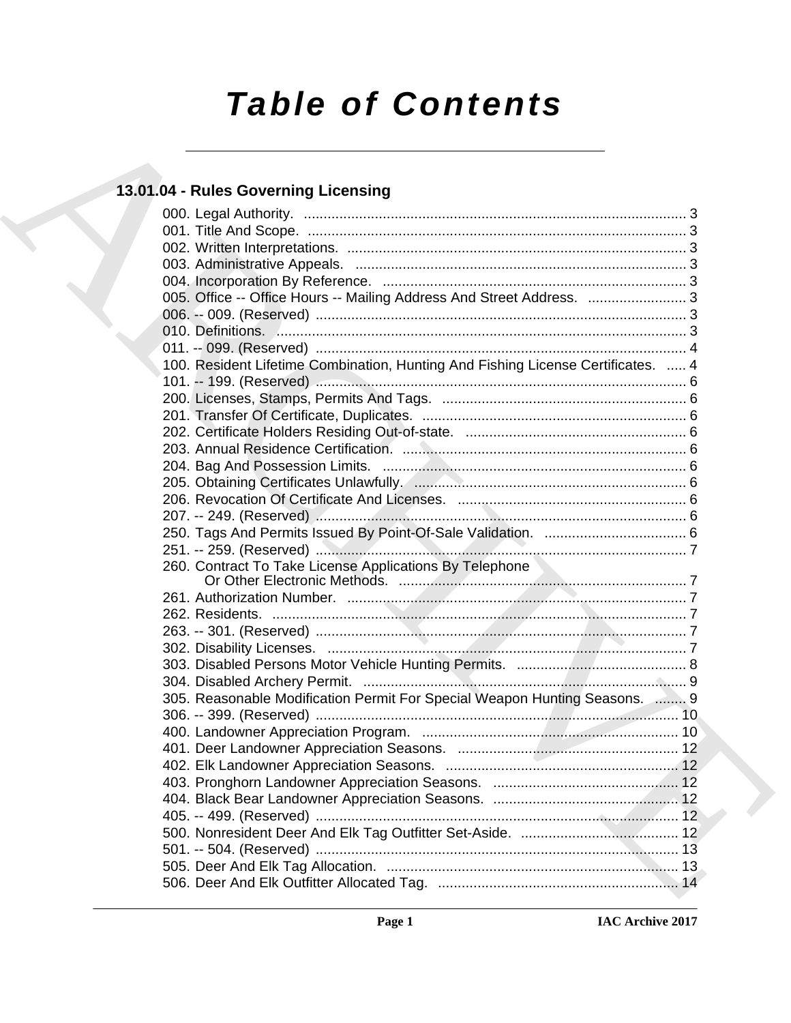# *Table of Contents*

### **13.01.04 - Rules Governing Licensing**

| 13.01.04 - Rules Governing Licensing                                             |  |
|----------------------------------------------------------------------------------|--|
|                                                                                  |  |
|                                                                                  |  |
|                                                                                  |  |
|                                                                                  |  |
|                                                                                  |  |
| 005. Office -- Office Hours -- Mailing Address And Street Address.  3            |  |
|                                                                                  |  |
|                                                                                  |  |
|                                                                                  |  |
| 100. Resident Lifetime Combination, Hunting And Fishing License Certificates.  4 |  |
|                                                                                  |  |
|                                                                                  |  |
|                                                                                  |  |
|                                                                                  |  |
|                                                                                  |  |
|                                                                                  |  |
|                                                                                  |  |
|                                                                                  |  |
|                                                                                  |  |
|                                                                                  |  |
|                                                                                  |  |
| 260. Contract To Take License Applications By Telephone                          |  |
|                                                                                  |  |
|                                                                                  |  |
|                                                                                  |  |
|                                                                                  |  |
|                                                                                  |  |
|                                                                                  |  |
| 305. Reasonable Modification Permit For Special Weapon Hunting Seasons.  9       |  |
|                                                                                  |  |
|                                                                                  |  |
|                                                                                  |  |
|                                                                                  |  |
|                                                                                  |  |
|                                                                                  |  |
|                                                                                  |  |
|                                                                                  |  |
|                                                                                  |  |
|                                                                                  |  |
|                                                                                  |  |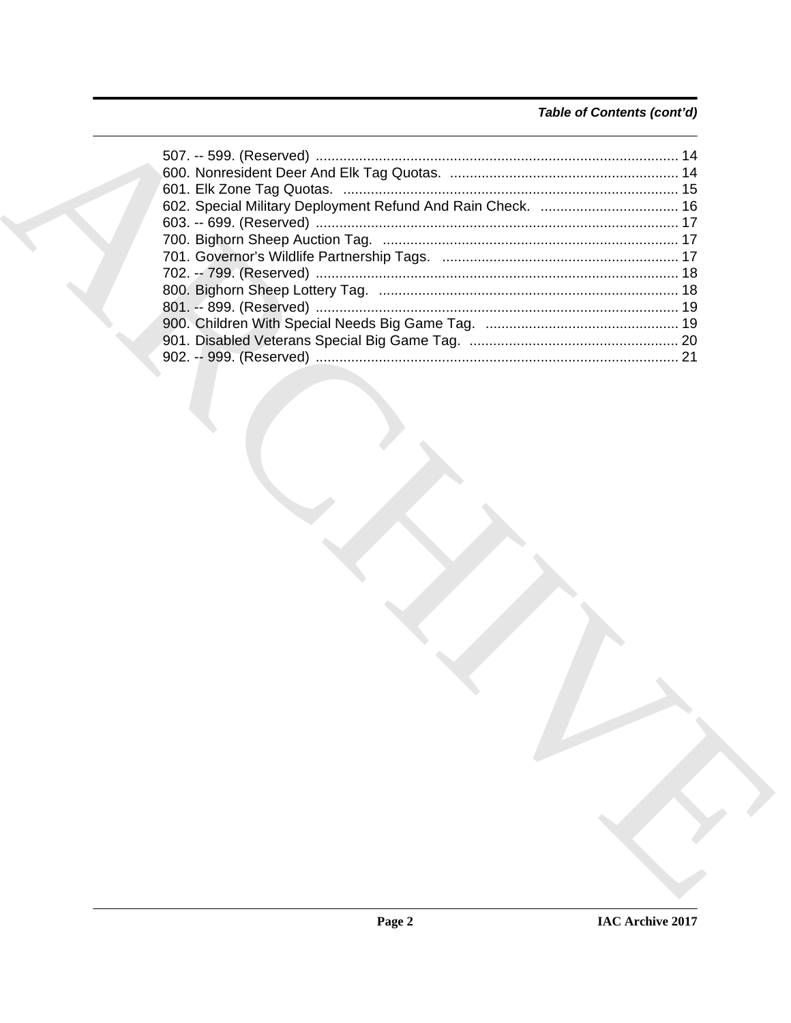#### Table of Contents (cont'd)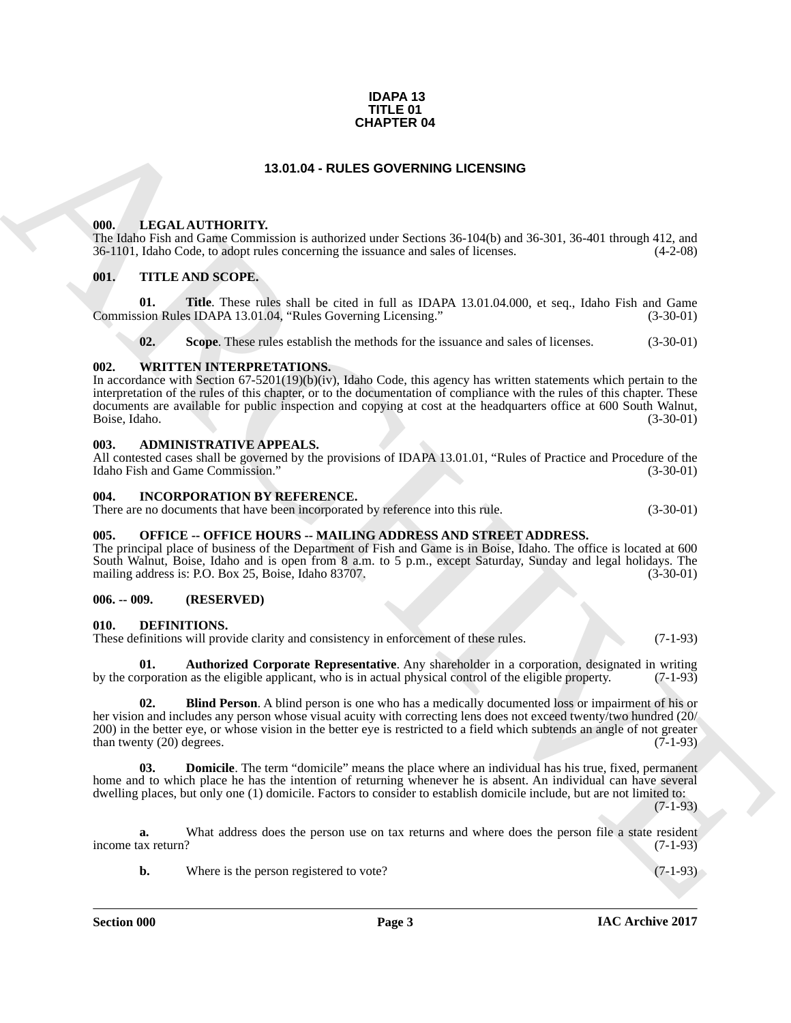#### **IDAPA 13 TITLE 01 CHAPTER 04**

#### **13.01.04 - RULES GOVERNING LICENSING**

#### <span id="page-2-1"></span><span id="page-2-0"></span>**000. LEGAL AUTHORITY.**

The Idaho Fish and Game Commission is authorized under Sections 36-104(b) and 36-301, 36-401 through 412, and 36-1101, Idaho Code, to adopt rules concerning the issuance and sales of licenses. (4-2-08)

#### <span id="page-2-2"></span>**001. TITLE AND SCOPE.**

**01. Title**. These rules shall be cited in full as IDAPA 13.01.04.000, et seq., Idaho Fish and Game Commission Rules IDAPA 13.01.04, "Rules Governing Licensing." (3-30-01)

**02.** Scope. These rules establish the methods for the issuance and sales of licenses.  $(3-30-01)$ 

#### <span id="page-2-3"></span>**002. WRITTEN INTERPRETATIONS.**

**CHAPTER 04**<br> **CHARCHIVE CHAPTER OF**<br> **CHARCHIVE CHAPTER OF CHAPTER CHAPTER (ACTIONATIVE CHAPTER CHAPTER CHAPTER CHAPTER CHAPTER CHAPTER CHAPTER CHAPTER CHAPTER CHAPTER CHAPTER CHAPTER CHAPTER CHAPTER CHAPTER CHAPTER CHAP** In accordance with Section 67-5201(19)(b)(iv), Idaho Code, this agency has written statements which pertain to the interpretation of the rules of this chapter, or to the documentation of compliance with the rules of this chapter. These documents are available for public inspection and copying at cost at the headquarters office at 600 South Walnut,<br>Boise, Idaho. (3-30-01) Boise, Idaho. (3-30-01)

#### <span id="page-2-4"></span>**003. ADMINISTRATIVE APPEALS.**

All contested cases shall be governed by the provisions of IDAPA 13.01.01, "Rules of Practice and Procedure of the Idaho Fish and Game Commission." (3-30-01)

#### <span id="page-2-5"></span>**004. INCORPORATION BY REFERENCE.**

There are no documents that have been incorporated by reference into this rule. (3-30-01)

#### <span id="page-2-6"></span>**005. OFFICE -- OFFICE HOURS -- MAILING ADDRESS AND STREET ADDRESS.**

The principal place of business of the Department of Fish and Game is in Boise, Idaho. The office is located at 600 South Walnut, Boise, Idaho and is open from 8 a.m. to 5 p.m., except Saturday, Sunday and legal holidays. The mailing address is: P.O. Box 25, Boise, Idaho 83707. (3-30-01) mailing address is: P.O. Box 25, Boise, Idaho 83707.

#### <span id="page-2-7"></span>**006. -- 009. (RESERVED)**

#### <span id="page-2-9"></span><span id="page-2-8"></span>**010. DEFINITIONS.**

These definitions will provide clarity and consistency in enforcement of these rules. (7-1-93)

<span id="page-2-10"></span>**01. Authorized Corporate Representative**. Any shareholder in a corporation, designated in writing by the corporation as the eligible applicant, who is in actual physical control of the eligible property. (7-1-93)

<span id="page-2-11"></span>**02. Blind Person**. A blind person is one who has a medically documented loss or impairment of his or her vision and includes any person whose visual acuity with correcting lens does not exceed twenty/two hundred (20/ 200) in the better eye, or whose vision in the better eye is restricted to a field which subtends an angle of not greater than twenty (20) degrees.  $(7-1-93)$ than twenty  $(20)$  degrees.

<span id="page-2-12"></span>**03. Domicile**. The term "domicile" means the place where an individual has his true, fixed, permanent home and to which place he has the intention of returning whenever he is absent. An individual can have several dwelling places, but only one (1) domicile. Factors to consider to establish domicile include, but are not limited to:

 $(7-1-93)$ 

**a.** What address does the person use on tax returns and where does the person file a state resident ax return? (7-1-93) income tax return?

**b.** Where is the person registered to vote? (7-1-93)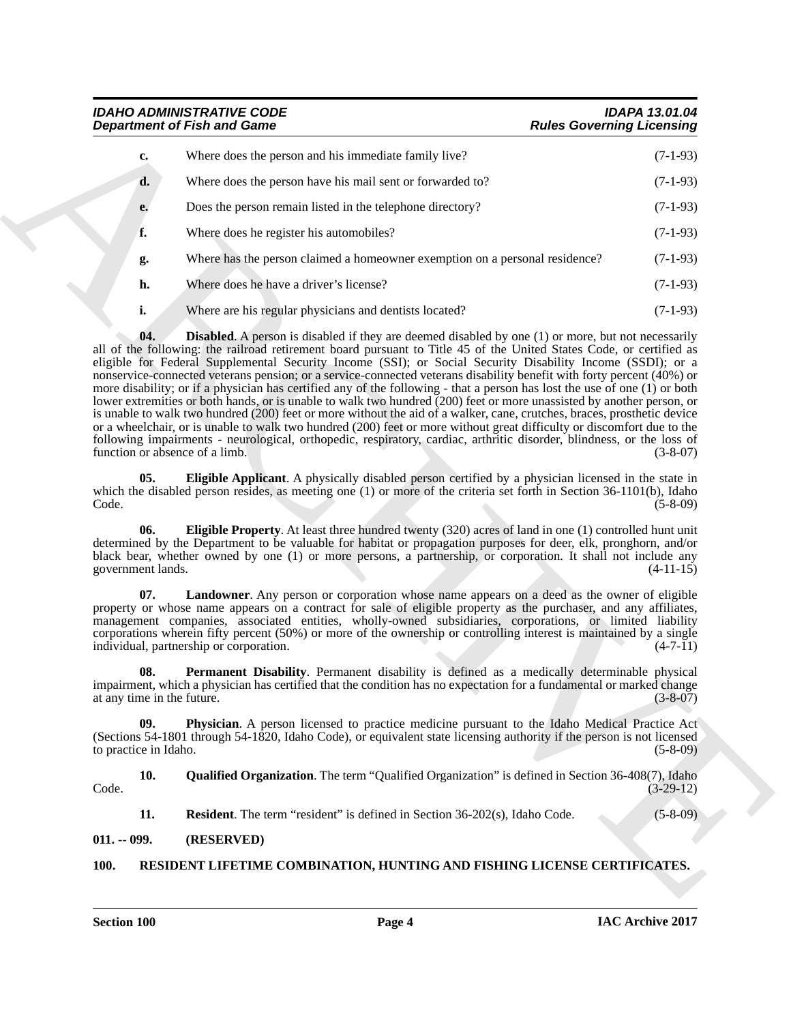<span id="page-3-3"></span><span id="page-3-2"></span>*IDAHO ADMINISTRATIVE CODE IDAPA 13.01.04*

|                                   | <b>Department of Fish and Game</b>                                                                                                                                                                                                                                                                                                                                                                                                                                                                                                                                                                                                                                                                                                                                                                                                                                                                                                                                                             | <b>Rules Governing Licensing</b> |
|-----------------------------------|------------------------------------------------------------------------------------------------------------------------------------------------------------------------------------------------------------------------------------------------------------------------------------------------------------------------------------------------------------------------------------------------------------------------------------------------------------------------------------------------------------------------------------------------------------------------------------------------------------------------------------------------------------------------------------------------------------------------------------------------------------------------------------------------------------------------------------------------------------------------------------------------------------------------------------------------------------------------------------------------|----------------------------------|
| c.                                | Where does the person and his immediate family live?                                                                                                                                                                                                                                                                                                                                                                                                                                                                                                                                                                                                                                                                                                                                                                                                                                                                                                                                           | $(7-1-93)$                       |
| d.                                | Where does the person have his mail sent or forwarded to?                                                                                                                                                                                                                                                                                                                                                                                                                                                                                                                                                                                                                                                                                                                                                                                                                                                                                                                                      | $(7-1-93)$                       |
| e.                                | Does the person remain listed in the telephone directory?                                                                                                                                                                                                                                                                                                                                                                                                                                                                                                                                                                                                                                                                                                                                                                                                                                                                                                                                      | $(7-1-93)$                       |
| f.                                | Where does he register his automobiles?                                                                                                                                                                                                                                                                                                                                                                                                                                                                                                                                                                                                                                                                                                                                                                                                                                                                                                                                                        | $(7-1-93)$                       |
| g.                                | Where has the person claimed a homeowner exemption on a personal residence?                                                                                                                                                                                                                                                                                                                                                                                                                                                                                                                                                                                                                                                                                                                                                                                                                                                                                                                    | $(7-1-93)$                       |
| h.                                | Where does he have a driver's license?                                                                                                                                                                                                                                                                                                                                                                                                                                                                                                                                                                                                                                                                                                                                                                                                                                                                                                                                                         | $(7-1-93)$                       |
| i.                                | Where are his regular physicians and dentists located?                                                                                                                                                                                                                                                                                                                                                                                                                                                                                                                                                                                                                                                                                                                                                                                                                                                                                                                                         | $(7-1-93)$                       |
| function or absence of a limb.    | all of the following: the railroad retirement board pursuant to Title 45 of the United States Code, or certified as<br>eligible for Federal Supplemental Security Income (SSI); or Social Security Disability Income (SSDI); or a<br>nonservice-connected veterans pension; or a service-connected veterans disability benefit with forty percent (40%) or<br>more disability; or if a physician has certified any of the following - that a person has lost the use of one (1) or both<br>lower extremities or both hands, or is unable to walk two hundred (200) feet or more unassisted by another person, or<br>is unable to walk two hundred (200) feet or more without the aid of a walker, cane, crutches, braces, prosthetic device<br>or a wheelchair, or is unable to walk two hundred (200) feet or more without great difficulty or discomfort due to the<br>following impairments - neurological, orthopedic, respiratory, cardiac, arthritic disorder, blindness, or the loss of | $(3-8-07)$                       |
| 05.<br>Code.                      | Eligible Applicant. A physically disabled person certified by a physician licensed in the state in<br>which the disabled person resides, as meeting one $(1)$ or more of the criteria set forth in Section 36-1101(b), Idaho                                                                                                                                                                                                                                                                                                                                                                                                                                                                                                                                                                                                                                                                                                                                                                   | $(5-8-09)$                       |
| 06.<br>government lands.          | <b>Eligible Property.</b> At least three hundred twenty $(320)$ acres of land in one $(1)$ controlled hunt unit<br>determined by the Department to be valuable for habitat or propagation purposes for deer, elk, pronghorn, and/or<br>black bear, whether owned by one (1) or more persons, a partnership, or corporation. It shall not include any                                                                                                                                                                                                                                                                                                                                                                                                                                                                                                                                                                                                                                           | $(4-11-15)$                      |
| 07.                               | Landowner. Any person or corporation whose name appears on a deed as the owner of eligible<br>property or whose name appears on a contract for sale of eligible property as the purchaser, and any affiliates,<br>management companies, associated entities, wholly-owned subsidiaries, corporations, or limited liability<br>corporations wherein fifty percent (50%) or more of the ownership or controlling interest is maintained by a single<br>individual, partnership or corporation.                                                                                                                                                                                                                                                                                                                                                                                                                                                                                                   | $(4-7-11)$                       |
| 08.<br>at any time in the future. | Permanent Disability. Permanent disability is defined as a medically determinable physical<br>impairment, which a physician has certified that the condition has no expectation for a fundamental or marked change                                                                                                                                                                                                                                                                                                                                                                                                                                                                                                                                                                                                                                                                                                                                                                             | $(3 - 8 - 07)$                   |
| 09.<br>to practice in Idaho.      | Physician. A person licensed to practice medicine pursuant to the Idaho Medical Practice Act<br>(Sections 54-1801 through 54-1820, Idaho Code), or equivalent state licensing authority if the person is not licensed                                                                                                                                                                                                                                                                                                                                                                                                                                                                                                                                                                                                                                                                                                                                                                          | $(5-8-09)$                       |
| 10.<br>Code.                      | <b>Qualified Organization.</b> The term "Qualified Organization" is defined in Section 36-408(7), Idaho                                                                                                                                                                                                                                                                                                                                                                                                                                                                                                                                                                                                                                                                                                                                                                                                                                                                                        | $(3-29-12)$                      |
|                                   | <b>Resident</b> . The term "resident" is defined in Section 36-202(s), Idaho Code.                                                                                                                                                                                                                                                                                                                                                                                                                                                                                                                                                                                                                                                                                                                                                                                                                                                                                                             | $(5 - 8 - 09)$                   |
| 11.                               |                                                                                                                                                                                                                                                                                                                                                                                                                                                                                                                                                                                                                                                                                                                                                                                                                                                                                                                                                                                                |                                  |

#### <span id="page-3-9"></span><span id="page-3-8"></span><span id="page-3-7"></span><span id="page-3-6"></span><span id="page-3-5"></span><span id="page-3-4"></span><span id="page-3-0"></span>**011. -- 099. (RESERVED)**

#### <span id="page-3-10"></span><span id="page-3-1"></span>**100. RESIDENT LIFETIME COMBINATION, HUNTING AND FISHING LICENSE CERTIFICATES.**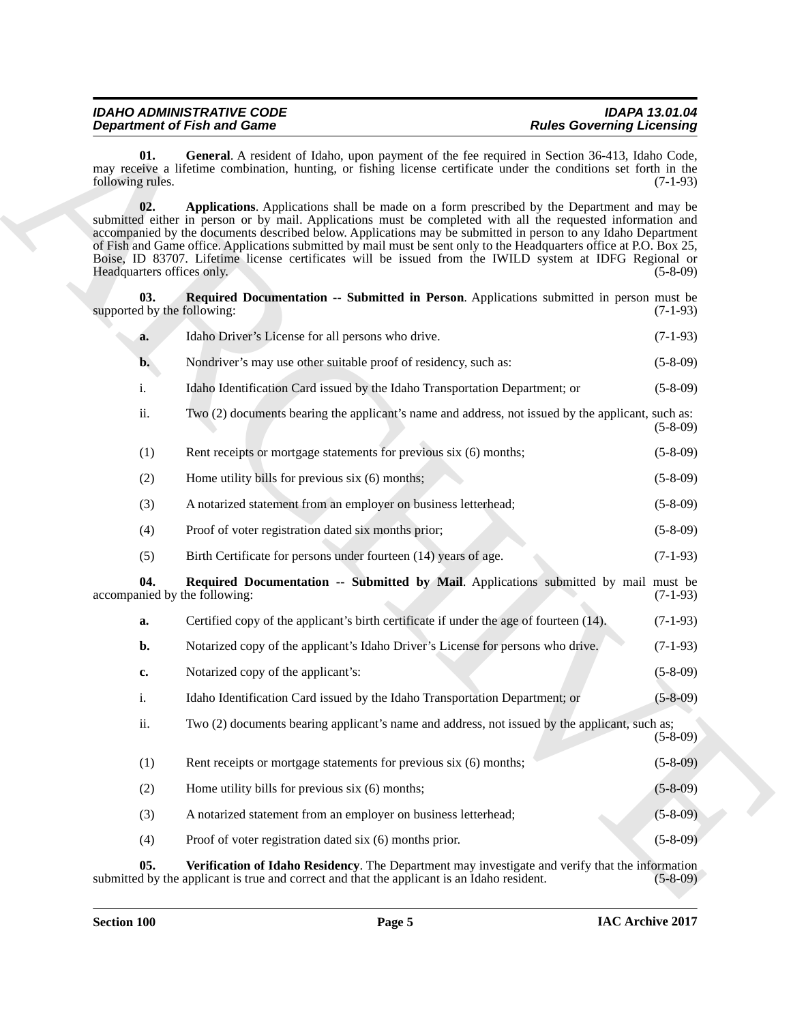<span id="page-4-4"></span><span id="page-4-3"></span><span id="page-4-2"></span><span id="page-4-1"></span><span id="page-4-0"></span>

| <b>IDAHO ADMINISTRATIVE CODE</b>   | <b>IDAPA 13.01.04</b>            |
|------------------------------------|----------------------------------|
|                                    |                                  |
| <b>Department of Fish and Game</b> | <b>Rules Governing Licensing</b> |
|                                    |                                  |

|                                      | <b>Department of Fish and Game</b>                                                                                                                                                                                                                                                                                                                                                                                                                                                                                                                             | <b>Rules Governing Licensing</b> |
|--------------------------------------|----------------------------------------------------------------------------------------------------------------------------------------------------------------------------------------------------------------------------------------------------------------------------------------------------------------------------------------------------------------------------------------------------------------------------------------------------------------------------------------------------------------------------------------------------------------|----------------------------------|
| 01.<br>following rules.              | General. A resident of Idaho, upon payment of the fee required in Section 36-413, Idaho Code,<br>may receive a lifetime combination, hunting, or fishing license certificate under the conditions set forth in the                                                                                                                                                                                                                                                                                                                                             | $(7-1-93)$                       |
| 02.<br>Headquarters offices only.    | Applications. Applications shall be made on a form prescribed by the Department and may be<br>submitted either in person or by mail. Applications must be completed with all the requested information and<br>accompanied by the documents described below. Applications may be submitted in person to any Idaho Department<br>of Fish and Game office. Applications submitted by mail must be sent only to the Headquarters office at P.O. Box 25,<br>Boise, ID 83707. Lifetime license certificates will be issued from the IWILD system at IDFG Regional or | $(5-8-09)$                       |
| 03.<br>supported by the following:   | Required Documentation -- Submitted in Person. Applications submitted in person must be                                                                                                                                                                                                                                                                                                                                                                                                                                                                        | $(7-1-93)$                       |
| a.                                   | Idaho Driver's License for all persons who drive.                                                                                                                                                                                                                                                                                                                                                                                                                                                                                                              | $(7-1-93)$                       |
| $\mathbf{b}$ .                       | Nondriver's may use other suitable proof of residency, such as:                                                                                                                                                                                                                                                                                                                                                                                                                                                                                                | $(5-8-09)$                       |
| i.                                   | Idaho Identification Card issued by the Idaho Transportation Department; or                                                                                                                                                                                                                                                                                                                                                                                                                                                                                    | $(5-8-09)$                       |
| ii.                                  | Two (2) documents bearing the applicant's name and address, not issued by the applicant, such as:                                                                                                                                                                                                                                                                                                                                                                                                                                                              | $(5-8-09)$                       |
| (1)                                  | Rent receipts or mortgage statements for previous six (6) months;                                                                                                                                                                                                                                                                                                                                                                                                                                                                                              | $(5-8-09)$                       |
| (2)                                  | Home utility bills for previous six (6) months;                                                                                                                                                                                                                                                                                                                                                                                                                                                                                                                | $(5-8-09)$                       |
| (3)                                  | A notarized statement from an employer on business letterhead;                                                                                                                                                                                                                                                                                                                                                                                                                                                                                                 | $(5-8-09)$                       |
| (4)                                  | Proof of voter registration dated six months prior;                                                                                                                                                                                                                                                                                                                                                                                                                                                                                                            | $(5-8-09)$                       |
| (5)                                  | Birth Certificate for persons under fourteen (14) years of age.                                                                                                                                                                                                                                                                                                                                                                                                                                                                                                | $(7-1-93)$                       |
| 04.<br>accompanied by the following: | Required Documentation -- Submitted by Mail. Applications submitted by mail must be                                                                                                                                                                                                                                                                                                                                                                                                                                                                            | $(7-1-93)$                       |
| a.                                   | Certified copy of the applicant's birth certificate if under the age of fourteen (14).                                                                                                                                                                                                                                                                                                                                                                                                                                                                         | $(7-1-93)$                       |
| b.                                   | Notarized copy of the applicant's Idaho Driver's License for persons who drive.                                                                                                                                                                                                                                                                                                                                                                                                                                                                                | $(7-1-93)$                       |
| c.                                   | Notarized copy of the applicant's:                                                                                                                                                                                                                                                                                                                                                                                                                                                                                                                             | $(5 - 8 - 09)$                   |
| 1.                                   | Idaho Identification Card issued by the Idaho Transportation Department; or                                                                                                                                                                                                                                                                                                                                                                                                                                                                                    | $(5 - 8 - 09)$                   |
| ii.                                  | Two (2) documents bearing applicant's name and address, not issued by the applicant, such as;                                                                                                                                                                                                                                                                                                                                                                                                                                                                  | $(5-8-09)$                       |
| (1)                                  | Rent receipts or mortgage statements for previous six (6) months;                                                                                                                                                                                                                                                                                                                                                                                                                                                                                              | $(5-8-09)$                       |
| (2)                                  | Home utility bills for previous six (6) months;                                                                                                                                                                                                                                                                                                                                                                                                                                                                                                                | $(5 - 8 - 09)$                   |
| (3)                                  | A notarized statement from an employer on business letterhead;                                                                                                                                                                                                                                                                                                                                                                                                                                                                                                 | $(5 - 8 - 09)$                   |
| (4)                                  | Proof of voter registration dated six (6) months prior.                                                                                                                                                                                                                                                                                                                                                                                                                                                                                                        | $(5 - 8 - 09)$                   |
| 05.                                  | Verification of Idaho Residency. The Department may investigate and verify that the information<br>submitted by the applicant is true and correct and that the applicant is an Idaho resident.                                                                                                                                                                                                                                                                                                                                                                 | $(5-8-09)$                       |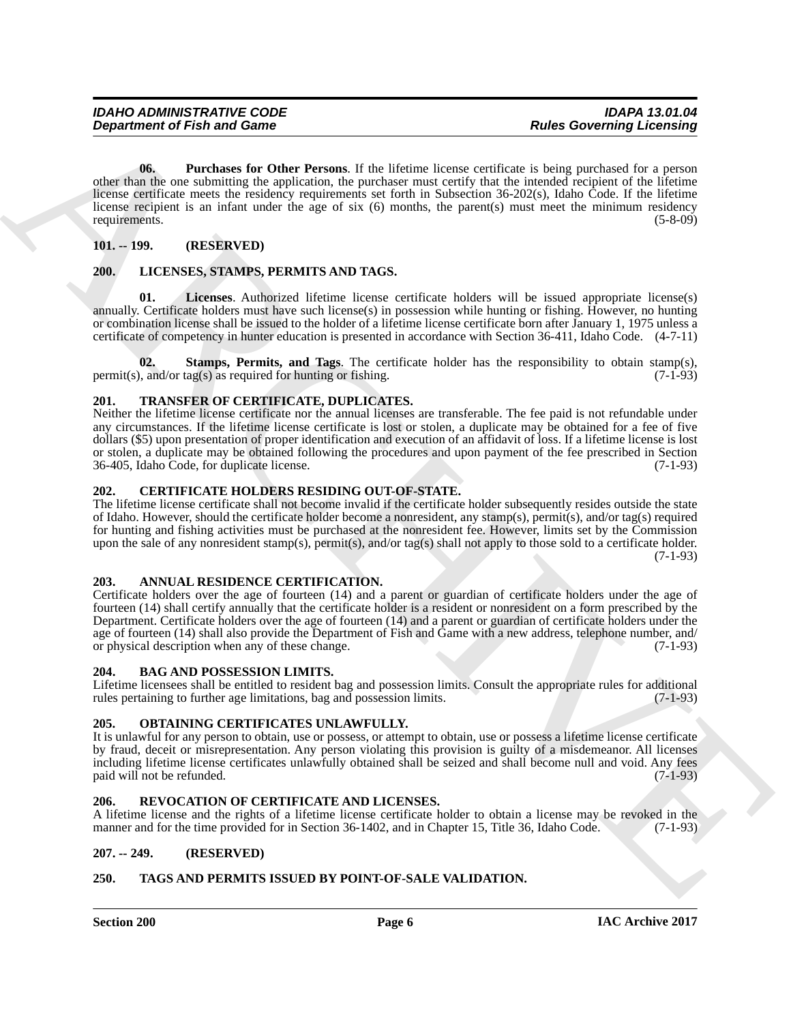**Department of Fish and Game<br>
US. Concerning the Using Convention of the Electric State Convention in the State Convention of the Partment of Fish and State Convention of the Partment of Fish and State Convention of the P 06. Purchases for Other Persons**. If the lifetime license certificate is being purchased for a person other than the one submitting the application, the purchaser must certify that the intended recipient of the lifetime license certificate meets the residency requirements set forth in Subsection 36-202(s), Idaho Code. If the lifetime license recipient is an infant under the age of six (6) months, the parent(s) must meet the minimum residency requirements. (5-8-09)

#### <span id="page-5-17"></span><span id="page-5-0"></span>**101. -- 199. (RESERVED)**

#### <span id="page-5-13"></span><span id="page-5-1"></span>**200. LICENSES, STAMPS, PERMITS AND TAGS.**

<span id="page-5-14"></span>**01. Licenses**. Authorized lifetime license certificate holders will be issued appropriate license(s) annually. Certificate holders must have such license(s) in possession while hunting or fishing. However, no hunting or combination license shall be issued to the holder of a lifetime license certificate born after January 1, 1975 unless a certificate of competency in hunter education is presented in accordance with Section 36-411, Idaho Code. (4-7-11)

<span id="page-5-15"></span>**02. Stamps, Permits, and Tags**. The certificate holder has the responsibility to obtain stamp(s), and/or tag(s) as required for hunting or fishing. (7-1-93) permit(s), and/or tag(s) as required for hunting or fishing.

#### <span id="page-5-20"></span><span id="page-5-2"></span>**201. TRANSFER OF CERTIFICATE, DUPLICATES.**

Neither the lifetime license certificate nor the annual licenses are transferable. The fee paid is not refundable under any circumstances. If the lifetime license certificate is lost or stolen, a duplicate may be obtained for a fee of five dollars (\$5) upon presentation of proper identification and execution of an affidavit of loss. If a lifetime license is lost or stolen, a duplicate may be obtained following the procedures and upon payment of the fee prescribed in Section 36-405, Idaho Code, for duplicate license. (7-1-93)

#### <span id="page-5-12"></span><span id="page-5-3"></span>**202. CERTIFICATE HOLDERS RESIDING OUT-OF-STATE.**

The lifetime license certificate shall not become invalid if the certificate holder subsequently resides outside the state of Idaho. However, should the certificate holder become a nonresident, any stamp(s), permit(s), and/or tag(s) required for hunting and fishing activities must be purchased at the nonresident fee. However, limits set by the Commission upon the sale of any nonresident stamp(s), permit(s), and/or tag(s) shall not apply to those sold to a certificate holder. (7-1-93)

#### <span id="page-5-10"></span><span id="page-5-4"></span>**203. ANNUAL RESIDENCE CERTIFICATION.**

Certificate holders over the age of fourteen (14) and a parent or guardian of certificate holders under the age of fourteen (14) shall certify annually that the certificate holder is a resident or nonresident on a form prescribed by the Department. Certificate holders over the age of fourteen (14) and a parent or guardian of certificate holders under the age of fourteen (14) shall also provide the Department of Fish and Game with a new address, telephone number, and/ or physical description when any of these change. (7-1-93)

#### <span id="page-5-11"></span><span id="page-5-5"></span>**204. BAG AND POSSESSION LIMITS.**

Lifetime licensees shall be entitled to resident bag and possession limits. Consult the appropriate rules for additional rules pertaining to further age limitations, bag and possession limits. (7-1-93)

#### <span id="page-5-16"></span><span id="page-5-6"></span>**205. OBTAINING CERTIFICATES UNLAWFULLY.**

It is unlawful for any person to obtain, use or possess, or attempt to obtain, use or possess a lifetime license certificate by fraud, deceit or misrepresentation. Any person violating this provision is guilty of a misdemeanor. All licenses including lifetime license certificates unlawfully obtained shall be seized and shall become null and void. Any fees paid will not be refunded. (7-1-93)

#### <span id="page-5-18"></span><span id="page-5-7"></span>**206. REVOCATION OF CERTIFICATE AND LICENSES.**

A lifetime license and the rights of a lifetime license certificate holder to obtain a license may be revoked in the manner and for the time provided for in Section 36-1402, and in Chapter 15, Title 36, Idaho Code. (7-1-93)

#### <span id="page-5-8"></span>**207. -- 249. (RESERVED)**

#### <span id="page-5-19"></span><span id="page-5-9"></span>**250. TAGS AND PERMITS ISSUED BY POINT-OF-SALE VALIDATION.**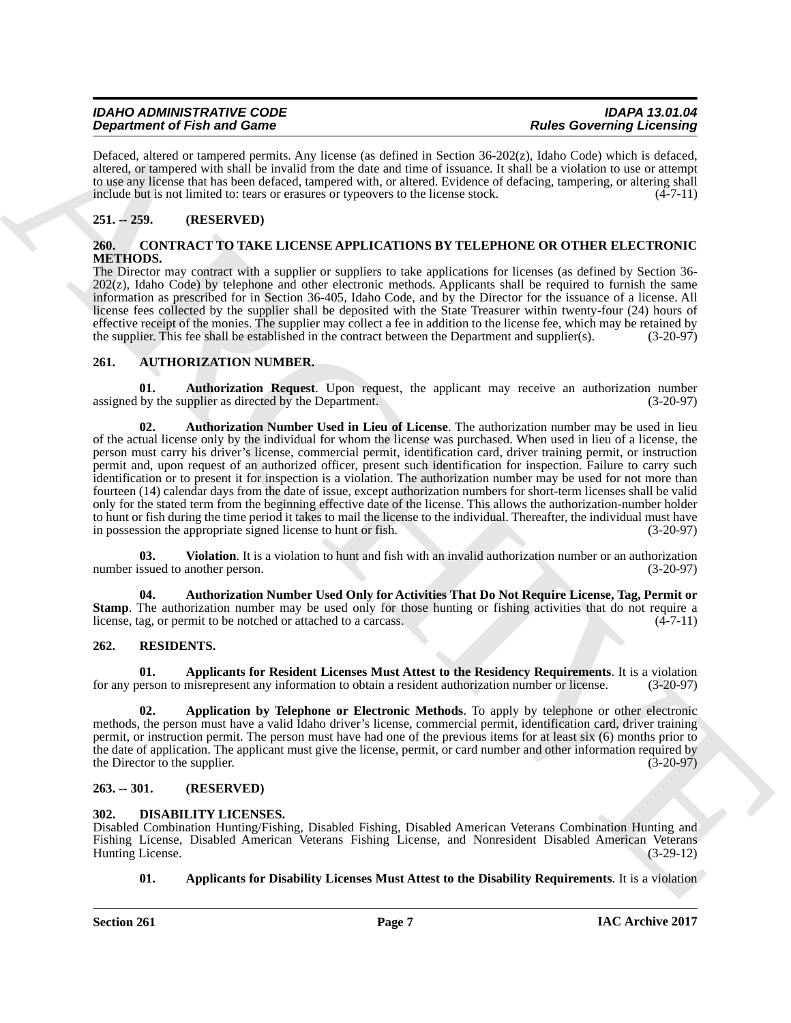| <b>IDAHO ADMINISTRATIVE CODE</b>   | <b>IDAPA 13.01.04</b>            |
|------------------------------------|----------------------------------|
| <b>Department of Fish and Game</b> | <b>Rules Governing Licensing</b> |

<span id="page-6-12"></span>Defaced, altered or tampered permits. Any license (as defined in Section 36-202(z), Idaho Code) which is defaced, altered, or tampered with shall be invalid from the date and time of issuance. It shall be a violation to use or attempt to use any license that has been defaced, tampered with, or altered. Evidence of defacing, tampering, or altering shall include but is not limited to: tears or erasures or typeovers to the license stock.  $(4-7-11)$ 

#### <span id="page-6-0"></span>**251. -- 259. (RESERVED)**

#### <span id="page-6-11"></span><span id="page-6-1"></span>**260. CONTRACT TO TAKE LICENSE APPLICATIONS BY TELEPHONE OR OTHER ELECTRONIC METHODS.**

The Director may contract with a supplier or suppliers to take applications for licenses (as defined by Section 36- 202(z), Idaho Code) by telephone and other electronic methods. Applicants shall be required to furnish the same information as prescribed for in Section 36-405, Idaho Code, and by the Director for the issuance of a license. All license fees collected by the supplier shall be deposited with the State Treasurer within twenty-four (24) hours of effective receipt of the monies. The supplier may collect a fee in addition to the license fee, which may be retained by the supplier. This fee shall be established in the contract between the Department and supplier(s). (3-20-97)

#### <span id="page-6-6"></span><span id="page-6-2"></span>**261. AUTHORIZATION NUMBER.**

<span id="page-6-9"></span><span id="page-6-7"></span>**01. Authorization Request**. Upon request, the applicant may receive an authorization number by the supplier as directed by the Department. (3-20-97) assigned by the supplier as directed by the Department.

**Dependent of Friedrich Constraints and Constraints and Constraints and Constraints and Constraints and Constraints and Constraints and Constraints and Constraints and Constraints and Constraints and Constraints and Const 02. Authorization Number Used in Lieu of License**. The authorization number may be used in lieu of the actual license only by the individual for whom the license was purchased. When used in lieu of a license, the person must carry his driver's license, commercial permit, identification card, driver training permit, or instruction permit and, upon request of an authorized officer, present such identification for inspection. Failure to carry such identification or to present it for inspection is a violation. The authorization number may be used for not more than fourteen (14) calendar days from the date of issue, except authorization numbers for short-term licenses shall be valid only for the stated term from the beginning effective date of the license. This allows the authorization-number holder to hunt or fish during the time period it takes to mail the license to the individual. Thereafter, the individual must have<br>in possession the appropriate signed license to hunt or fish. in possession the appropriate signed license to hunt or fish.

<span id="page-6-10"></span>**03.** Violation. It is a violation to hunt and fish with an invalid authorization number or an authorization ssued to another person. (3-20-97) number issued to another person.

<span id="page-6-8"></span>**04. Authorization Number Used Only for Activities That Do Not Require License, Tag, Permit or Stamp**. The authorization number may be used only for those hunting or fishing activities that do not require a license, tag, or permit to be notched or attached to a carcass. license, tag, or permit to be notched or attached to a carcass.

#### <span id="page-6-15"></span><span id="page-6-3"></span>**262. RESIDENTS.**

<span id="page-6-16"></span>**01. Applicants for Resident Licenses Must Attest to the Residency Requirements**. It is a violation person to misrepresent any information to obtain a resident authorization number or license. (3-20-97) for any person to misrepresent any information to obtain a resident authorization number or license.

<span id="page-6-17"></span>**02. Application by Telephone or Electronic Methods**. To apply by telephone or other electronic methods, the person must have a valid Idaho driver's license, commercial permit, identification card, driver training permit, or instruction permit. The person must have had one of the previous items for at least six (6) months prior to the date of application. The applicant must give the license, permit, or card number and other information required by the Director to the supplier. (3-20-97)

#### <span id="page-6-4"></span>**263. -- 301. (RESERVED)**

#### <span id="page-6-13"></span><span id="page-6-5"></span>**302. DISABILITY LICENSES.**

Disabled Combination Hunting/Fishing, Disabled Fishing, Disabled American Veterans Combination Hunting and Fishing License, Disabled American Veterans Fishing License, and Nonresident Disabled American Veterans Hunting License.

#### <span id="page-6-14"></span>**01.** Applicants for Disability Licenses Must Attest to the Disability Requirements. It is a violation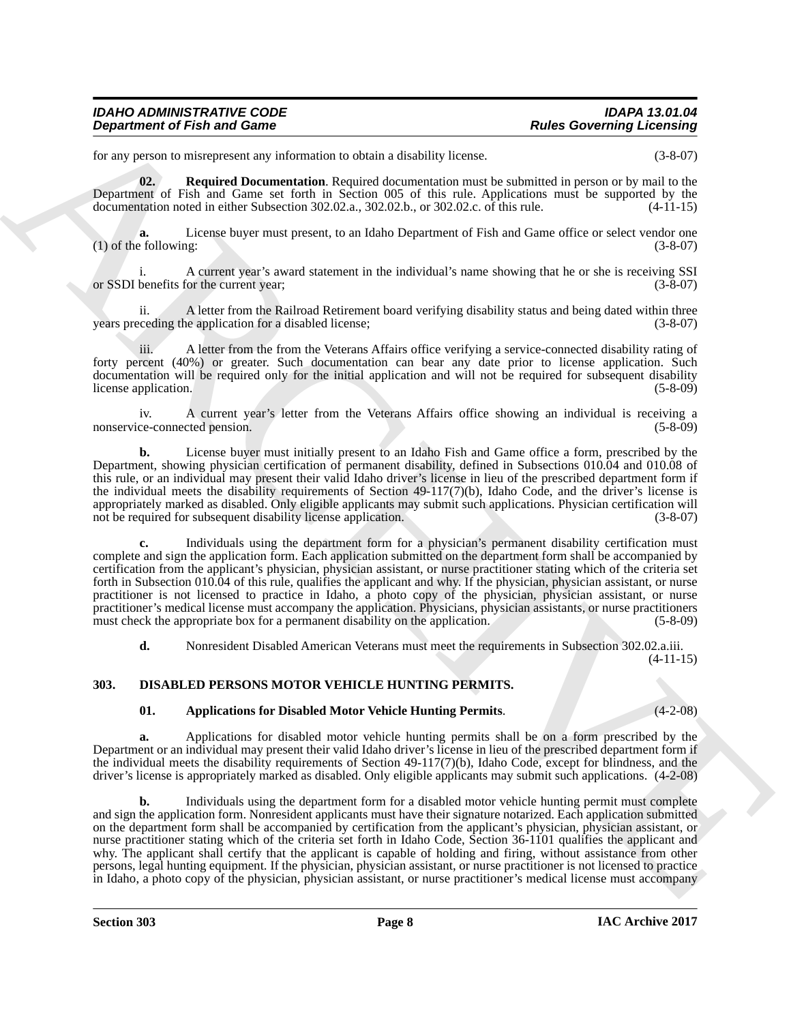| <b>IDAHO ADMINISTRATIVE CODE</b>   | <b>IDAPA 13.01.04</b>            |
|------------------------------------|----------------------------------|
| <b>Department of Fish and Game</b> | <b>Rules Governing Licensing</b> |

for any person to misrepresent any information to obtain a disability license. (3-8-07)

<span id="page-7-1"></span>**02. Required Documentation**. Required documentation must be submitted in person or by mail to the Department of Fish and Game set forth in Section 005 of this rule. Applications must be supported by the documentation noted in either Subsection 302.02.a., 302.02.b., or 302.02.c. of this rule. (4-11-15)

**a.** License buyer must present, to an Idaho Department of Fish and Game office or select vendor one  $(1)$  of the following:  $(3-8-07)$ 

i. A current year's award statement in the individual's name showing that he or she is receiving SSI or SSDI benefits for the current year; (3-8-07)

ii. A letter from the Railroad Retirement board verifying disability status and being dated within three years preceding the application for a disabled license; (3-8-07)

iii. A letter from the from the Veterans Affairs office verifying a service-connected disability rating of forty percent (40%) or greater. Such documentation can bear any date prior to license application. Such documentation will be required only for the initial application and will not be required for subsequent disability license application. (5-8-09)

iv. A current year's letter from the Veterans Affairs office showing an individual is receiving a ce-connected pension. (5-8-09) nonservice-connected pension.

**b.** License buyer must initially present to an Idaho Fish and Game office a form, prescribed by the Department, showing physician certification of permanent disability, defined in Subsections 010.04 and 010.08 of this rule, or an individual may present their valid Idaho driver's license in lieu of the prescribed department form if the individual meets the disability requirements of Section 49-117(7)(b), Idaho Code, and the driver's license is appropriately marked as disabled. Only eligible applicants may submit such applications. Physician certification will not be required for subsequent disability license application. (3-8-07)

**c.** Individuals using the department form for a physician's permanent disability certification must complete and sign the application form. Each application submitted on the department form shall be accompanied by certification from the applicant's physician, physician assistant, or nurse practitioner stating which of the criteria set forth in Subsection 010.04 of this rule, qualifies the applicant and why. If the physician, physician assistant, or nurse practitioner is not licensed to practice in Idaho, a photo copy of the physician, physician assistant, or nurse practitioner's medical license must accompany the application. Physicians, physician assistants, or nurse practitioners must check the appropriate box for a permanent disability on the application. (5-8-09)

<span id="page-7-2"></span>**d.** Nonresident Disabled American Veterans must meet the requirements in Subsection 302.02.a.iii. (4-11-15)

#### <span id="page-7-0"></span>**303. DISABLED PERSONS MOTOR VEHICLE HUNTING PERMITS.**

#### <span id="page-7-3"></span>**01. Applications for Disabled Motor Vehicle Hunting Permits**. (4-2-08)

**a.** Applications for disabled motor vehicle hunting permits shall be on a form prescribed by the Department or an individual may present their valid Idaho driver's license in lieu of the prescribed department form if the individual meets the disability requirements of Section 49-117(7)(b), Idaho Code, except for blindness, and the driver's license is appropriately marked as disabled. Only eligible applicants may submit such applications. (4-2-08)

**Department of Fish and Game<br>
Learning Convention to the anti-series of the series of the series of the series of the series of the series of the series of the series of the series of the series of the series of the serie b.** Individuals using the department form for a disabled motor vehicle hunting permit must complete and sign the application form. Nonresident applicants must have their signature notarized. Each application submitted on the department form shall be accompanied by certification from the applicant's physician, physician assistant, or nurse practitioner stating which of the criteria set forth in Idaho Code, Section 36-1101 qualifies the applicant and why. The applicant shall certify that the applicant is capable of holding and firing, without assistance from other persons, legal hunting equipment. If the physician, physician assistant, or nurse practitioner is not licensed to practice in Idaho, a photo copy of the physician, physician assistant, or nurse practitioner's medical license must accompany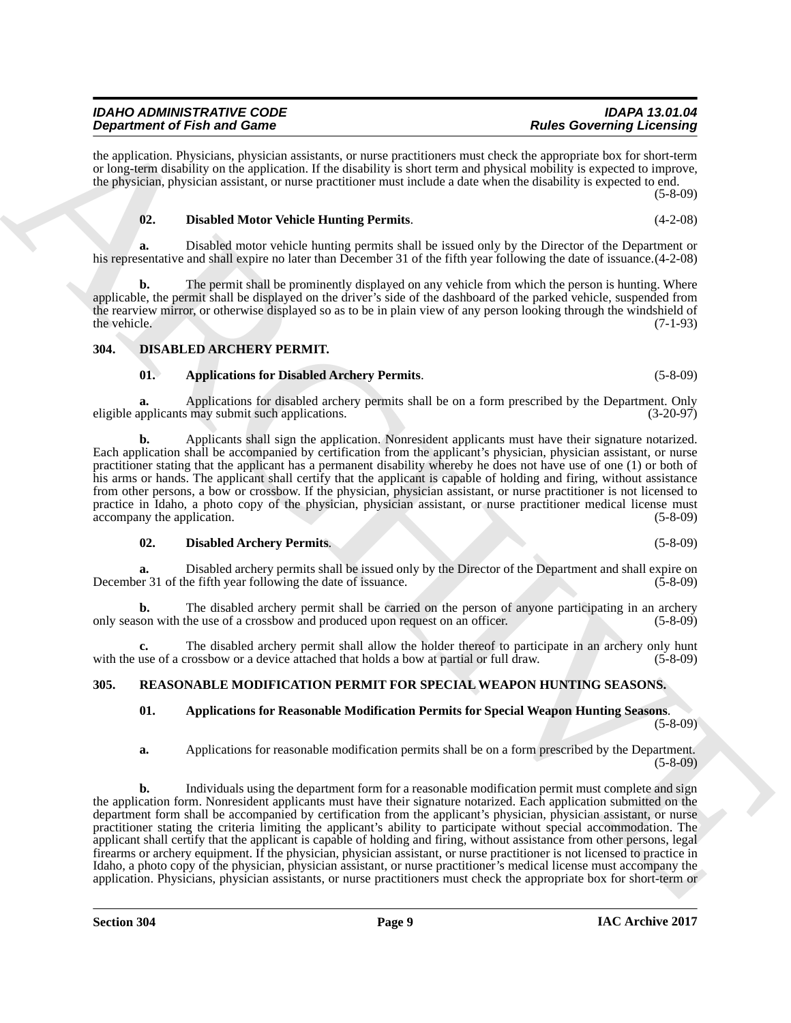#### *IDAHO ADMINISTRATIVE CODE IDAPA 13.01.04 Department of Fish and Game*

the application. Physicians, physician assistants, or nurse practitioners must check the appropriate box for short-term or long-term disability on the application. If the disability is short term and physical mobility is expected to improve, the physician, physician assistant, or nurse practitioner must include a date when the disability is expected to end.

(5-8-09)

#### <span id="page-8-5"></span>**02. Disabled Motor Vehicle Hunting Permits**. (4-2-08)

**a.** Disabled motor vehicle hunting permits shall be issued only by the Director of the Department or his representative and shall expire no later than December 31 of the fifth year following the date of issuance.(4-2-08)

**b.** The permit shall be prominently displayed on any vehicle from which the person is hunting. Where applicable, the permit shall be displayed on the driver's side of the dashboard of the parked vehicle, suspended from the rearview mirror, or otherwise displayed so as to be in plain view of any person looking through the windshield of the vehicle.  $(7-1-93)$ 

#### <span id="page-8-0"></span>**304. DISABLED ARCHERY PERMIT.**

#### <span id="page-8-3"></span><span id="page-8-2"></span>**01. Applications for Disabled Archery Permits**. (5-8-09)

**a.** Applications for disabled archery permits shall be on a form prescribed by the Department. Only eligible applicants may submit such applications. (3-20-97)

**b.** Applicants shall sign the application. Nonresident applicants must have their signature notarized. Each application shall be accompanied by certification from the applicant's physician, physician assistant, or nurse practitioner stating that the applicant has a permanent disability whereby he does not have use of one (1) or both of his arms or hands. The applicant shall certify that the applicant is capable of holding and firing, without assistance from other persons, a bow or crossbow. If the physician, physician assistant, or nurse practitioner is not licensed to practice in Idaho, a photo copy of the physician, physician assistant, or nurse practitioner medical license must accompany the application. (5-8-09) (5-8-09)

#### <span id="page-8-4"></span>**02. Disabled Archery Permits**. (5-8-09)

**a.** Disabled archery permits shall be issued only by the Director of the Department and shall expire on December 31 of the fifth year following the date of issuance. (5-8-09)

**b.** The disabled archery permit shall be carried on the person of anyone participating in an archery son with the use of a crossbow and produced upon request on an officer. (5-8-09) only season with the use of a crossbow and produced upon request on an officer. (5-8-09)

**c.** The disabled archery permit shall allow the holder thereof to participate in an archery only hunt use of a crossbow or a device attached that holds a bow at partial or full draw. (5-8-09) with the use of a crossbow or a device attached that holds a bow at partial or full draw.

#### <span id="page-8-1"></span>**305. REASONABLE MODIFICATION PERMIT FOR SPECIAL WEAPON HUNTING SEASONS.**

#### <span id="page-8-7"></span><span id="page-8-6"></span>**01. Applications for Reasonable Modification Permits for Special Weapon Hunting Seasons**. (5-8-09)

**a.** Applications for reasonable modification permits shall be on a form prescribed by the Department. (5-8-09)

**Dependent of Friedrich Control on the Construction of the Construction Control on the Construction Construction Construction Construction Construction Construction Construction Construction Construction Construction Cons b.** Individuals using the department form for a reasonable modification permit must complete and sign the application form. Nonresident applicants must have their signature notarized. Each application submitted on the department form shall be accompanied by certification from the applicant's physician, physician assistant, or nurse practitioner stating the criteria limiting the applicant's ability to participate without special accommodation. The applicant shall certify that the applicant is capable of holding and firing, without assistance from other persons, legal firearms or archery equipment. If the physician, physician assistant, or nurse practitioner is not licensed to practice in Idaho, a photo copy of the physician, physician assistant, or nurse practitioner's medical license must accompany the application. Physicians, physician assistants, or nurse practitioners must check the appropriate box for short-term or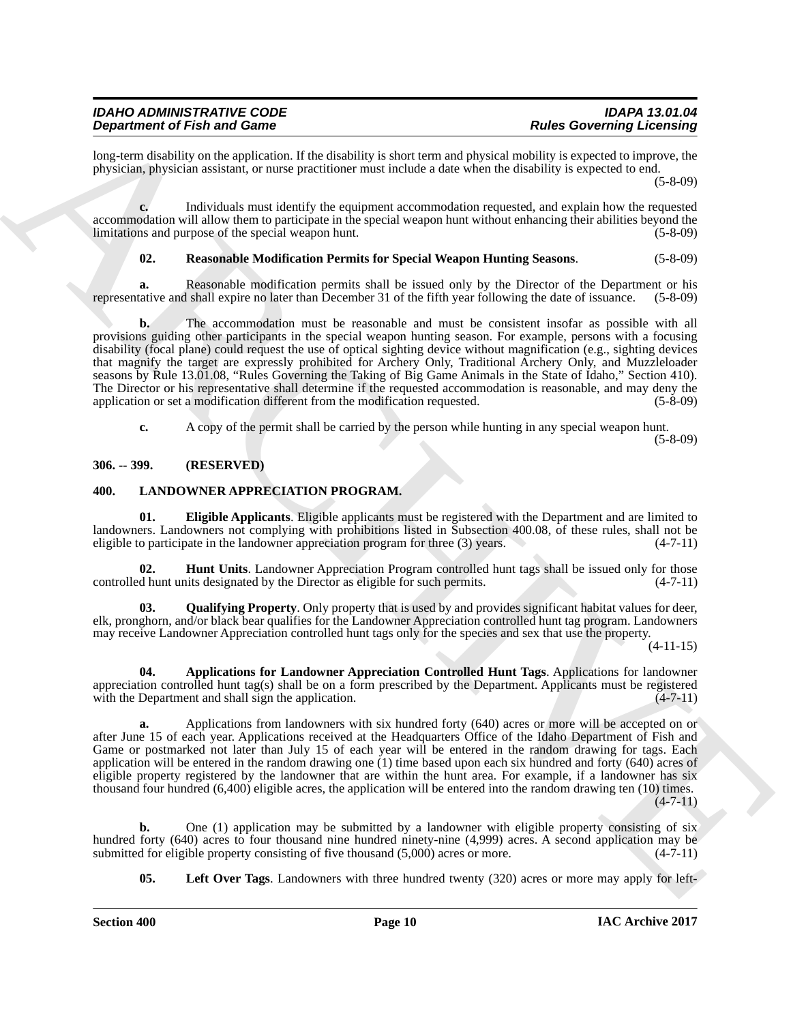| <b>IDAHO ADMINISTRATIVE CODE</b>   | <b>IDAPA 13.01.04</b>            |
|------------------------------------|----------------------------------|
| <b>Department of Fish and Game</b> | <b>Rules Governing Licensing</b> |

long-term disability on the application. If the disability is short term and physical mobility is expected to improve, the physician, physician assistant, or nurse practitioner must include a date when the disability is expected to end.

(5-8-09)

**c.** Individuals must identify the equipment accommodation requested, and explain how the requested accommodation will allow them to participate in the special weapon hunt without enhancing their abilities beyond the limitations and purpose of the special weapon hunt. (5-8-09) limitations and purpose of the special weapon hunt.

#### <span id="page-9-8"></span>**02. Reasonable Modification Permits for Special Weapon Hunting Seasons**. (5-8-09)

**a.** Reasonable modification permits shall be issued only by the Director of the Department or his tative and shall expire no later than December 31 of the fifth year following the date of issuance. (5-8-09) representative and shall expire no later than December 31 of the fifth year following the date of issuance.

**Department of Friedrich materials and the final state is a state of the state of the final state of Friedrich Control in the state of Friedrich Control in the state of the state of the state of the state of the state of b.** The accommodation must be reasonable and must be consistent insofar as possible with all provisions guiding other participants in the special weapon hunting season. For example, persons with a focusing disability (focal plane) could request the use of optical sighting device without magnification (e.g., sighting devices that magnify the target are expressly prohibited for Archery Only, Traditional Archery Only, and Muzzleloader seasons by Rule 13.01.08, "Rules Governing the Taking of Big Game Animals in the State of Idaho," Section 410). The Director or his representative shall determine if the requested accommodation is reasonable, and may deny the application or set a modification different from the modification requested. (5-8-09)

**c.** A copy of the permit shall be carried by the person while hunting in any special weapon hunt. (5-8-09)

#### <span id="page-9-0"></span>**306. -- 399. (RESERVED)**

#### <span id="page-9-2"></span><span id="page-9-1"></span>**400. LANDOWNER APPRECIATION PROGRAM.**

<span id="page-9-4"></span>**01. Eligible Applicants**. Eligible applicants must be registered with the Department and are limited to landowners. Landowners not complying with prohibitions listed in Subsection 400.08, of these rules, shall not be eligible to participate in the landowner appreciation program for three (3) years.  $(4-7-11)$ eligible to participate in the landowner appreciation program for three  $(3)$  years.

<span id="page-9-5"></span>**Hunt Units**. Landowner Appreciation Program controlled hunt tags shall be issued only for those controlled hunt units designated by the Director as eligible for such permits. (4-7-11)

<span id="page-9-7"></span>**03. Qualifying Property**. Only property that is used by and provides significant habitat values for deer, elk, pronghorn, and/or black bear qualifies for the Landowner Appreciation controlled hunt tag program. Landowners may receive Landowner Appreciation controlled hunt tags only for the species and sex that use the property.

(4-11-15)

<span id="page-9-3"></span>**04. Applications for Landowner Appreciation Controlled Hunt Tags**. Applications for landowner appreciation controlled hunt tag(s) shall be on a form prescribed by the Department. Applicants must be registered with the Department and shall sign the application.  $(4-7-11)$ 

**a.** Applications from landowners with six hundred forty (640) acres or more will be accepted on or after June 15 of each year. Applications received at the Headquarters Office of the Idaho Department of Fish and Game or postmarked not later than July 15 of each year will be entered in the random drawing for tags. Each application will be entered in the random drawing one (1) time based upon each six hundred and forty (640) acres of eligible property registered by the landowner that are within the hunt area. For example, if a landowner has six thousand four hundred (6,400) eligible acres, the application will be entered into the random drawing ten (10) times.  $(4 - 7 - 11)$ 

**b.** One (1) application may be submitted by a landowner with eligible property consisting of six hundred forty (640) acres to four thousand nine hundred ninety-nine (4,999) acres. A second application may be submitted for eligible property consisting of five thousand (5,000) acres or more. (4-7-11) submitted for eligible property consisting of five thousand  $(5,000)$  acres or more.

<span id="page-9-6"></span>**05. Left Over Tags**. Landowners with three hundred twenty (320) acres or more may apply for left-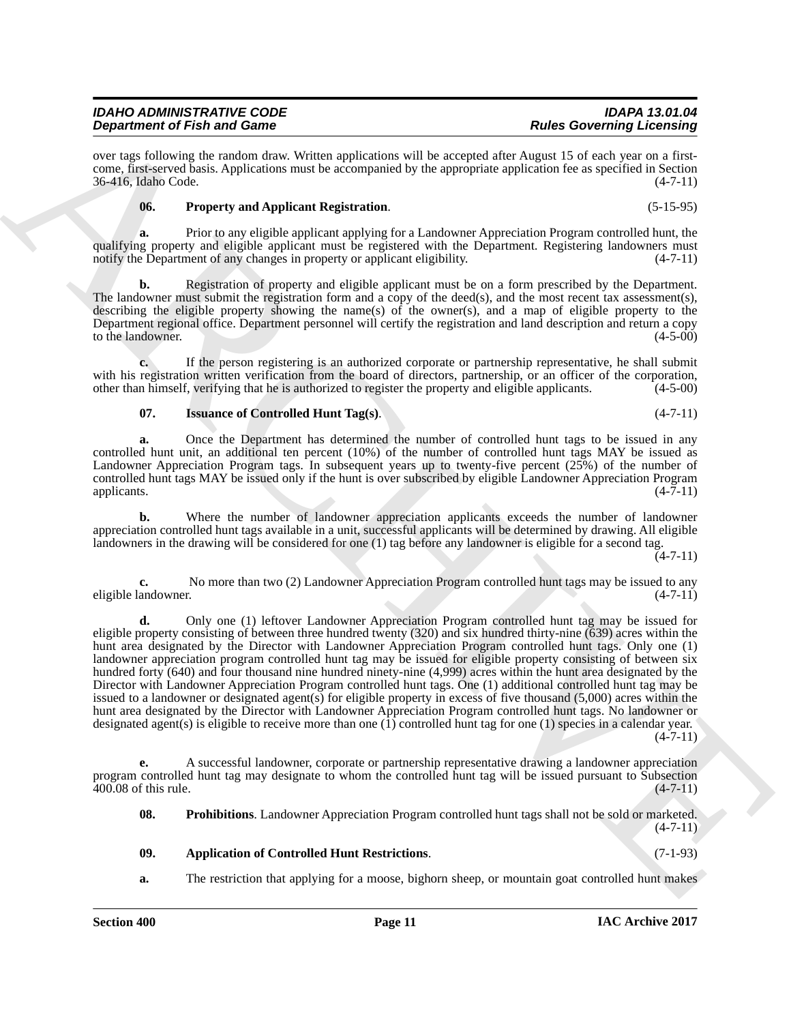#### *IDAHO ADMINISTRATIVE CODE IDAPA 13.01.04 Department of Fish and Game*

over tags following the random draw. Written applications will be accepted after August 15 of each year on a firstcome, first-served basis. Applications must be accompanied by the appropriate application fee as specified in Section 36-416, Idaho Code. (4-7-11)

#### <span id="page-10-3"></span>**06. Property and Applicant Registration**. (5-15-95)

**a.** Prior to any eligible applicant applying for a Landowner Appreciation Program controlled hunt, the qualifying property and eligible applicant must be registered with the Department. Registering landowners must<br>notify the Department of any changes in property or applicant eligibility. (4-7-11) notify the Department of any changes in property or applicant eligibility.

**b.** Registration of property and eligible applicant must be on a form prescribed by the Department. The landowner must submit the registration form and a copy of the deed(s), and the most recent tax assessment(s), describing the eligible property showing the name(s) of the owner(s), and a map of eligible property to the Department regional office. Department personnel will certify the registration and land description and return a copy to the landowner. (4-5-00)

**c.** If the person registering is an authorized corporate or partnership representative, he shall submit with his registration written verification from the board of directors, partnership, or an officer of the corporation, other than himself, verifying that he is authorized to register the property and eligible applicants. (4-5-00)

#### <span id="page-10-1"></span>**07.** Issuance of Controlled Hunt Tag(s). (4-7-11)

**a.** Once the Department has determined the number of controlled hunt tags to be issued in any controlled hunt unit, an additional ten percent (10%) of the number of controlled hunt tags MAY be issued as Landowner Appreciation Program tags. In subsequent years up to twenty-five percent (25%) of the number of controlled hunt tags MAY be issued only if the hunt is over subscribed by eligible Landowner Appreciation Program applicants. (4-7-11)

**b.** Where the number of landowner appreciation applicants exceeds the number of landowner appreciation controlled hunt tags available in a unit, successful applicants will be determined by drawing. All eligible landowners in the drawing will be considered for one (1) tag before any landowner is eligible for a second tag.

(4-7-11)

**c.** No more than two (2) Landowner Appreciation Program controlled hunt tags may be issued to any andowner. (4-7-11) eligible landowner.

**Dependent of Finite and Games Construction and Lie second and Robert Constraints (Second and Archives Constraint (Second and Archives Constraint (Second and Archives Constraint (Second and Archives Constraint (Second and d.** Only one (1) leftover Landowner Appreciation Program controlled hunt tag may be issued for eligible property consisting of between three hundred twenty (320) and six hundred thirty-nine (639) acres within the hunt area designated by the Director with Landowner Appreciation Program controlled hunt tags. Only one (1) landowner appreciation program controlled hunt tag may be issued for eligible property consisting of between six hundred forty (640) and four thousand nine hundred ninety-nine (4,999) acres within the hunt area designated by the Director with Landowner Appreciation Program controlled hunt tags. One (1) additional controlled hunt tag may be issued to a landowner or designated agent(s) for eligible property in excess of five thousand (5,000) acres within the hunt area designated by the Director with Landowner Appreciation Program controlled hunt tags. No landowner or designated agent(s) is eligible to receive more than one  $(1)$  controlled hunt tag for one  $(1)$  species in a calendar year.  $(4 - 7 - 11)$ 

**e.** A successful landowner, corporate or partnership representative drawing a landowner appreciation program controlled hunt tag may designate to whom the controlled hunt tag will be issued pursuant to Subsection 400.08 of this rule. (4-7-11)  $400.08$  of this rule.

<span id="page-10-2"></span>**08. Prohibitions**. Landowner Appreciation Program controlled hunt tags shall not be sold or marketed.  $(4 - 7 - 11)$ 

### <span id="page-10-0"></span>**09. Application of Controlled Hunt Restrictions**. (7-1-93)

**a.** The restriction that applying for a moose, bighorn sheep, or mountain goat controlled hunt makes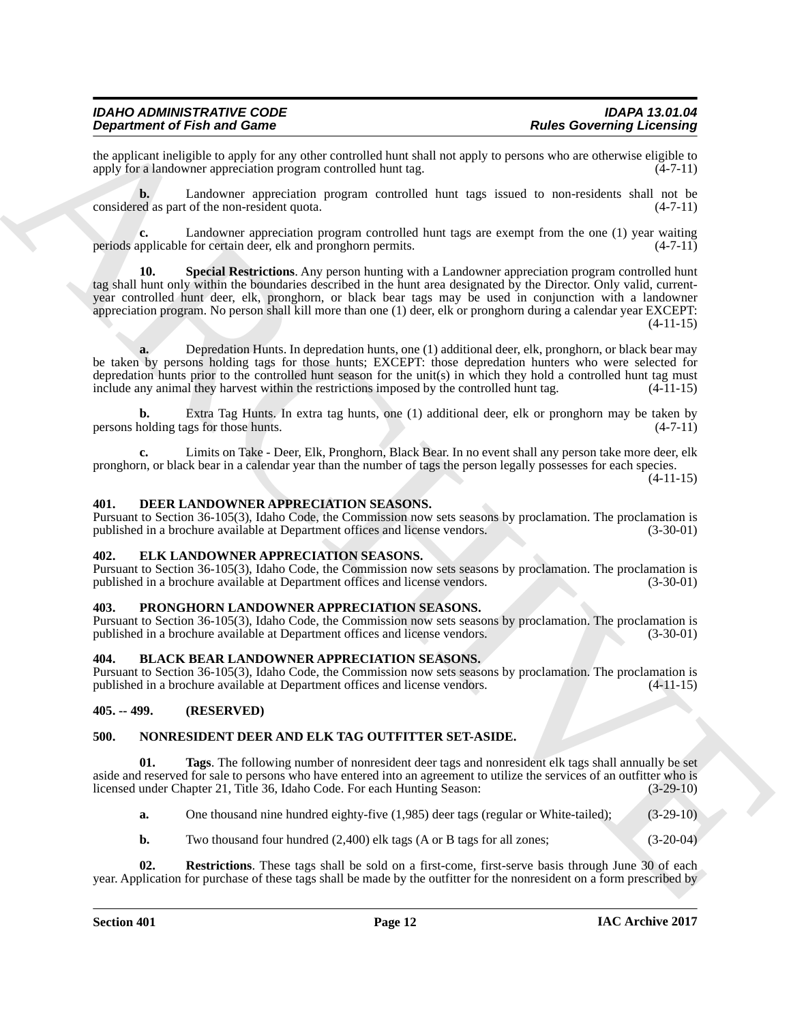the applicant ineligible to apply for any other controlled hunt shall not apply to persons who are otherwise eligible to apply for a landowner appreciation program controlled hunt tag. (4-7-11) apply for a landowner appreciation program controlled hunt tag.

**b.** Landowner appreciation program controlled hunt tags issued to non-residents shall not be considered as part of the non-resident quota. (4-7-11)

<span id="page-11-9"></span>**c.** Landowner appreciation program controlled hunt tags are exempt from the one (1) year waiting upplicable for certain deer, elk and pronghorn permits. (4-7-11) periods applicable for certain deer, elk and pronghorn permits.

**Dependent of Finite and Construction** and Construction and Construction and Construction and Construction and Construction and Construction and Construction and Construction and Construction and Construction and Construc **Special Restrictions**. Any person hunting with a Landowner appreciation program controlled hunt tag shall hunt only within the boundaries described in the hunt area designated by the Director. Only valid, currentyear controlled hunt deer, elk, pronghorn, or black bear tags may be used in conjunction with a landowner appreciation program. No person shall kill more than one (1) deer, elk or pronghorn during a calendar year EXCEPT:  $(4-11-15)$ 

**a.** Depredation Hunts. In depredation hunts, one (1) additional deer, elk, pronghorn, or black bear may be taken by persons holding tags for those hunts; EXCEPT: those depredation hunters who were selected for depredation hunts prior to the controlled hunt season for the unit(s) in which they hold a controlled hunt tag must include any animal they harvest within the restrictions imposed by the controlled hunt tag. (4-11-15)

**b.** Extra Tag Hunts. In extra tag hunts, one (1) additional deer, elk or pronghorn may be taken by colding tags for those hunts. persons holding tags for those hunts.

**c.** Limits on Take - Deer, Elk, Pronghorn, Black Bear. In no event shall any person take more deer, elk pronghorn, or black bear in a calendar year than the number of tags the person legally possesses for each species.

 $(4-11-15)$ 

#### <span id="page-11-7"></span><span id="page-11-0"></span>**401. DEER LANDOWNER APPRECIATION SEASONS.**

Pursuant to Section 36-105(3), Idaho Code, the Commission now sets seasons by proclamation. The proclamation is published in a brochure available at Department offices and license vendors.

#### <span id="page-11-8"></span><span id="page-11-1"></span>**402. ELK LANDOWNER APPRECIATION SEASONS.**

Pursuant to Section 36-105(3), Idaho Code, the Commission now sets seasons by proclamation. The proclamation is published in a brochure available at Department offices and license vendors. (3-30-01)

#### <span id="page-11-13"></span><span id="page-11-2"></span>**403. PRONGHORN LANDOWNER APPRECIATION SEASONS.**

Pursuant to Section 36-105(3), Idaho Code, the Commission now sets seasons by proclamation. The proclamation is published in a brochure available at Department offices and license vendors.

#### <span id="page-11-6"></span><span id="page-11-3"></span>**404. BLACK BEAR LANDOWNER APPRECIATION SEASONS.**

Pursuant to Section 36-105(3), Idaho Code, the Commission now sets seasons by proclamation. The proclamation is published in a brochure available at Department offices and license vendors.

#### <span id="page-11-4"></span>**405. -- 499. (RESERVED)**

#### <span id="page-11-10"></span><span id="page-11-5"></span>**500. NONRESIDENT DEER AND ELK TAG OUTFITTER SET-ASIDE.**

**01. Tags**. The following number of nonresident deer tags and nonresident elk tags shall annually be set aside and reserved for sale to persons who have entered into an agreement to utilize the services of an outfitter who is licensed under Chapter 21, Title 36, Idaho Code. For each Hunting Season: (3-29-10) licensed under Chapter 21, Title 36, Idaho Code. For each Hunting Season:

<span id="page-11-12"></span>**a.** One thousand nine hundred eighty-five (1,985) deer tags (regular or White-tailed); (3-29-10)

<span id="page-11-11"></span>**b.** Two thousand four hundred  $(2,400)$  elk tags (A or B tags for all zones;  $(3-20-04)$ 

**02. Restrictions**. These tags shall be sold on a first-come, first-serve basis through June 30 of each year. Application for purchase of these tags shall be made by the outfitter for the nonresident on a form prescribed by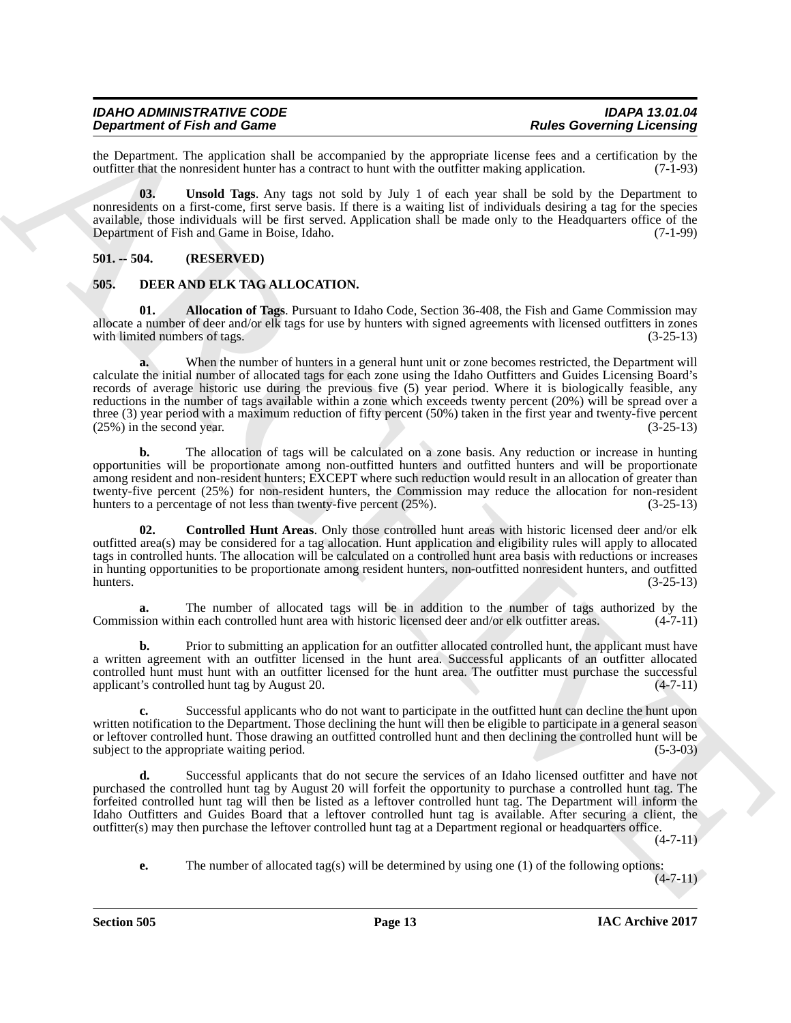#### *IDAHO ADMINISTRATIVE CODE IDAPA 13.01.04 Department of Fish and Game*

the Department. The application shall be accompanied by the appropriate license fees and a certification by the outfitter that the nonresident hunter has a contract to hunt with the outfitter making application. (7-1-93) outfitter that the nonresident hunter has a contract to hunt with the outfitter making application.

<span id="page-12-5"></span>**03. Unsold Tags**. Any tags not sold by July 1 of each year shall be sold by the Department to nonresidents on a first-come, first serve basis. If there is a waiting list of individuals desiring a tag for the species available, those individuals will be first served. Application shall be made only to the Headquarters office of the<br>Department of Fish and Game in Boise, Idaho. (7-1-99) Department of Fish and Game in Boise, Idaho.

#### <span id="page-12-0"></span>**501. -- 504. (RESERVED)**

#### <span id="page-12-2"></span><span id="page-12-1"></span>**505. DEER AND ELK TAG ALLOCATION.**

<span id="page-12-3"></span>**01. Allocation of Tags**. Pursuant to Idaho Code, Section 36-408, the Fish and Game Commission may allocate a number of deer and/or elk tags for use by hunters with signed agreements with licensed outfitters in zones with limited numbers of tags. (3-25-13)

**Dependent of Find and Case of Equivariant** Unit by the symptom **Example Conservation** of the symptom **C** and a symptom **C** and a symptom **C** and a symptom **C** and a symptom **C** and a symptom **C** and a symptom **C** and a s **a.** When the number of hunters in a general hunt unit or zone becomes restricted, the Department will calculate the initial number of allocated tags for each zone using the Idaho Outfitters and Guides Licensing Board's records of average historic use during the previous five (5) year period. Where it is biologically feasible, any reductions in the number of tags available within a zone which exceeds twenty percent (20%) will be spread over a three (3) year period with a maximum reduction of fifty percent (50%) taken in the first year and twenty-five percent (25%) in the second year.  $(3-25-13)$  $(25%)$  in the second year.

**b.** The allocation of tags will be calculated on a zone basis. Any reduction or increase in hunting opportunities will be proportionate among non-outfitted hunters and outfitted hunters and will be proportionate among resident and non-resident hunters; EXCEPT where such reduction would result in an allocation of greater than twenty-five percent (25%) for non-resident hunters, the Commission may reduce the allocation for non-resident hunters to a percentage of not less than twenty-five percent (25%). (3-25-13) hunters to a percentage of not less than twenty-five percent  $(25\%)$ .

<span id="page-12-4"></span>**02. Controlled Hunt Areas**. Only those controlled hunt areas with historic licensed deer and/or elk outfitted area(s) may be considered for a tag allocation. Hunt application and eligibility rules will apply to allocated tags in controlled hunts. The allocation will be calculated on a controlled hunt area basis with reductions or increases in hunting opportunities to be proportionate among resident hunters, non-outfitted nonresident hunters, and outfitted hunters.  $(3-25-13)$ 

**a.** The number of allocated tags will be in addition to the number of tags authorized by the sion within each controlled hunt area with historic licensed deer and/or elk outfitter areas. (4-7-11) Commission within each controlled hunt area with historic licensed deer and/or elk outfitter areas.

Prior to submitting an application for an outfitter allocated controlled hunt, the applicant must have a written agreement with an outfitter licensed in the hunt area. Successful applicants of an outfitter allocated controlled hunt must hunt with an outfitter licensed for the hunt area. The outfitter must purchase the successful applicant's controlled hunt tag by August 20. (4-7-11)

**c.** Successful applicants who do not want to participate in the outfitted hunt can decline the hunt upon written notification to the Department. Those declining the hunt will then be eligible to participate in a general season or leftover controlled hunt. Those drawing an outfitted controlled hunt and then declining the controlled hunt will be subject to the appropriate waiting period. (5-3-03)

**d.** Successful applicants that do not secure the services of an Idaho licensed outfitter and have not purchased the controlled hunt tag by August 20 will forfeit the opportunity to purchase a controlled hunt tag. The forfeited controlled hunt tag will then be listed as a leftover controlled hunt tag. The Department will inform the Idaho Outfitters and Guides Board that a leftover controlled hunt tag is available. After securing a client, the outfitter(s) may then purchase the leftover controlled hunt tag at a Department regional or headquarters office.

(4-7-11)

**e.** The number of allocated tag(s) will be determined by using one (1) of the following options:

 $(4-7-11)$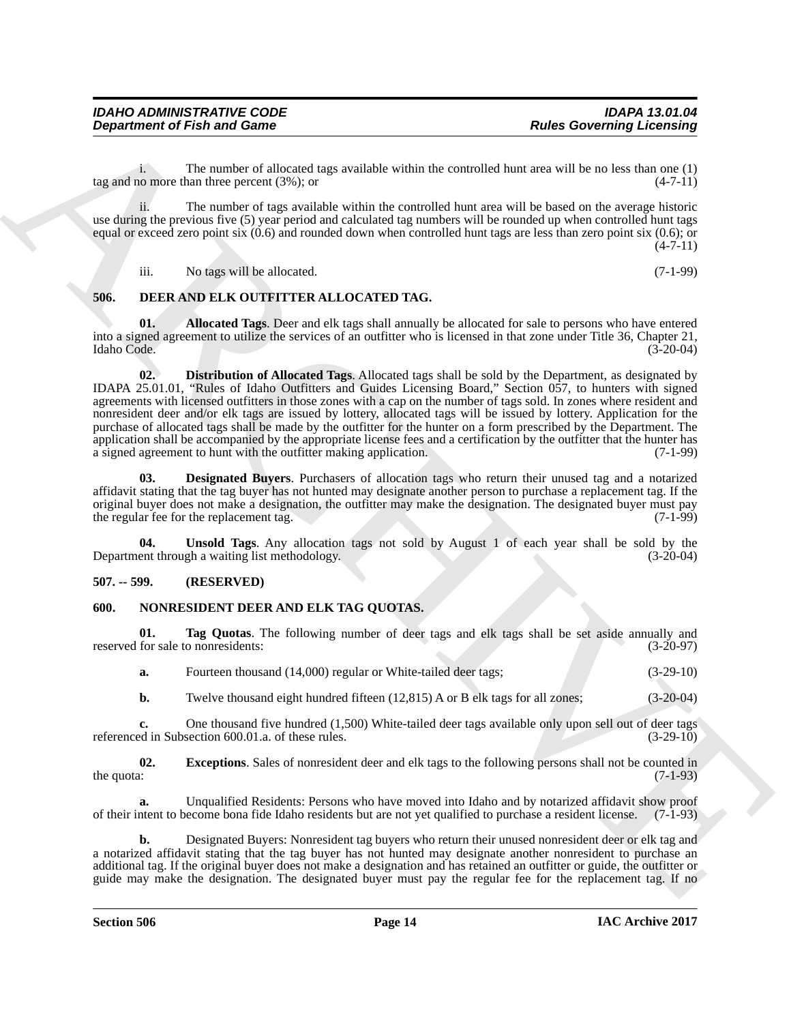i. The number of allocated tags available within the controlled hunt area will be no less than one  $(1)$  no more than three percent  $(3\%)$ ; or tag and no more than three percent  $(3\%)$ ; or

ii. The number of tags available within the controlled hunt area will be based on the average historic use during the previous five (5) year period and calculated tag numbers will be rounded up when controlled hunt tags equal or exceed zero point six  $(0.6)$  and rounded down when controlled hunt tags are less than zero point six  $(0.6)$ ; or  $(4 - 7 - 11)$ 

<span id="page-13-4"></span><span id="page-13-3"></span>iii. No tags will be allocated. (7-1-99)

#### <span id="page-13-0"></span>**506. DEER AND ELK OUTFITTER ALLOCATED TAG.**

<span id="page-13-6"></span>**01. Allocated Tags**. Deer and elk tags shall annually be allocated for sale to persons who have entered into a signed agreement to utilize the services of an outfitter who is licensed in that zone under Title 36, Chapter 21, Idaho Code. (3-20-04)

**Department of Fish and Game<br>
The Governing Licensing<br>
The most of a most of discussion and solid by a shallow shink the constraints have exactly the most of a state<br>
The most of a most of a most of a most of the most of 02. Distribution of Allocated Tags**. Allocated tags shall be sold by the Department, as designated by IDAPA 25.01.01, "Rules of Idaho Outfitters and Guides Licensing Board," Section 057, to hunters with signed agreements with licensed outfitters in those zones with a cap on the number of tags sold. In zones where resident and nonresident deer and/or elk tags are issued by lottery, allocated tags will be issued by lottery. Application for the purchase of allocated tags shall be made by the outfitter for the hunter on a form prescribed by the Department. The application shall be accompanied by the appropriate license fees and a certification by the outfitter that the hunter has a signed agreement to hunt with the outfitter making application. (7-1-99)

<span id="page-13-5"></span>**03. Designated Buyers**. Purchasers of allocation tags who return their unused tag and a notarized affidavit stating that the tag buyer has not hunted may designate another person to purchase a replacement tag. If the original buyer does not make a designation, the outfitter may make the designation. The designated buyer must pay<br>the regular fee for the replacement tag. (7-1-99) the regular fee for the replacement tag.

<span id="page-13-7"></span>**04. Unsold Tags**. Any allocation tags not sold by August 1 of each year shall be sold by the ent through a waiting list methodology. (3-20-04) Department through a waiting list methodology.

#### <span id="page-13-1"></span>**507. -- 599. (RESERVED)**

#### <span id="page-13-8"></span><span id="page-13-2"></span>**600. NONRESIDENT DEER AND ELK TAG QUOTAS.**

**01. Tag Quotas**. The following number of deer tags and elk tags shall be set aside annually and reserved for sale to nonresidents: (3-20-97)

<span id="page-13-10"></span>**a.** Fourteen thousand (14,000) regular or White-tailed deer tags; (3-29-10)

<span id="page-13-9"></span>**b.** Twelve thousand eight hundred fifteen (12,815) A or B elk tags for all zones; (3-20-04)

**c.** One thousand five hundred (1,500) White-tailed deer tags available only upon sell out of deer tags ed in Subsection 600.01.a. of these rules. (3-29-10) referenced in Subsection 600.01.a. of these rules.

**02.** Exceptions. Sales of nonresident deer and elk tags to the following persons shall not be counted in the quota: (7-1-93) the quota:  $(7-1-93)$ 

**a.** Unqualified Residents: Persons who have moved into Idaho and by notarized affidavit show proof of their intent to become bona fide Idaho residents but are not yet qualified to purchase a resident license. (7-1-93)

**b.** Designated Buyers: Nonresident tag buyers who return their unused nonresident deer or elk tag and a notarized affidavit stating that the tag buyer has not hunted may designate another nonresident to purchase an additional tag. If the original buyer does not make a designation and has retained an outfitter or guide, the outfitter or guide may make the designation. The designated buyer must pay the regular fee for the replacement tag. If no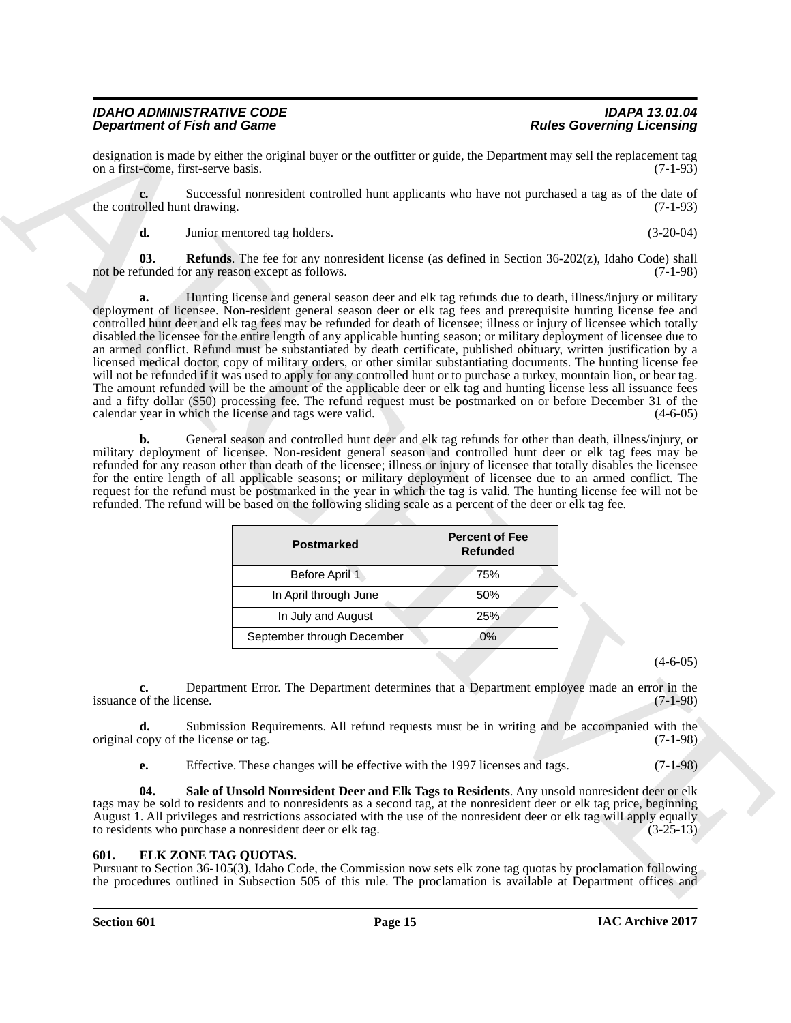#### *IDAHO ADMINISTRATIVE CODE IDAPA 13.01.04 Department of Fish and Game*

designation is made by either the original buyer or the outfitter or guide, the Department may sell the replacement tag<br>on a first-come, first-serve basis. (7-1-93) on a first-come, first-serve basis.

**c.** Successful nonresident controlled hunt applicants who have not purchased a tag as of the date of the controlled hunt drawing. (7-1-93)

<span id="page-14-2"></span>**d.** Junior mentored tag holders. (3-20-04)

**03.** Refunds. The fee for any nonresident license (as defined in Section 36-202(z), Idaho Code) shall not be refunded for any reason except as follows. (7-1-98)

**Dependent of Finite and Case of Constraints Constraint Constraint Constraint Constraint Constraint Constraint Constraint Constraint Constraint Constraint Constraint Constraint Constraint Constraint Constraint Constraint a.** Hunting license and general season deer and elk tag refunds due to death, illness/injury or military deployment of licensee. Non-resident general season deer or elk tag fees and prerequisite hunting license fee and controlled hunt deer and elk tag fees may be refunded for death of licensee; illness or injury of licensee which totally disabled the licensee for the entire length of any applicable hunting season; or military deployment of licensee due to an armed conflict. Refund must be substantiated by death certificate, published obituary, written justification by a licensed medical doctor, copy of military orders, or other similar substantiating documents. The hunting license fee will not be refunded if it was used to apply for any controlled hunt or to purchase a turkey, mountain lion, or bear tag. The amount refunded will be the amount of the applicable deer or elk tag and hunting license less all issuance fees and a fifty dollar (\$50) processing fee. The refund request must be postmarked on or before December 31 of the calendar year in which the license and tags were valid. (4-6-05)

**b.** General season and controlled hunt deer and elk tag refunds for other than death, illness/injury, or military deployment of licensee. Non-resident general season and controlled hunt deer or elk tag fees may be refunded for any reason other than death of the licensee; illness or injury of licensee that totally disables the licensee for the entire length of all applicable seasons; or military deployment of licensee due to an armed conflict. The request for the refund must be postmarked in the year in which the tag is valid. The hunting license fee will not be refunded. The refund will be based on the following sliding scale as a percent of the deer or elk tag fee.

| <b>Postmarked</b>          | <b>Percent of Fee</b><br><b>Refunded</b> |
|----------------------------|------------------------------------------|
| Before April 1             | 75%                                      |
| In April through June      | 50%                                      |
| In July and August         | 25%                                      |
| September through December | 0%                                       |

 $(4-6-05)$ 

**c.** Department Error. The Department determines that a Department employee made an error in the issuance of the license. (7-1-98)

**d.** Submission Requirements. All refund requests must be in writing and be accompanied with the copy of the license or tag. (7-1-98) original copy of the license or tag.

<span id="page-14-3"></span>**e.** Effective. These changes will be effective with the 1997 licenses and tags. (7-1-98)

**04. Sale of Unsold Nonresident Deer and Elk Tags to Residents**. Any unsold nonresident deer or elk tags may be sold to residents and to nonresidents as a second tag, at the nonresident deer or elk tag price, beginning August 1. All privileges and restrictions associated with the use of the nonresident deer or elk tag will apply equally to residents who purchase a nonresident deer or elk tag. (3-25-13) to residents who purchase a nonresident deer or elk tag.

#### <span id="page-14-1"></span><span id="page-14-0"></span>**601. ELK ZONE TAG QUOTAS.**

Pursuant to Section 36-105(3), Idaho Code, the Commission now sets elk zone tag quotas by proclamation following the procedures outlined in Subsection 505 of this rule. The proclamation is available at Department offices and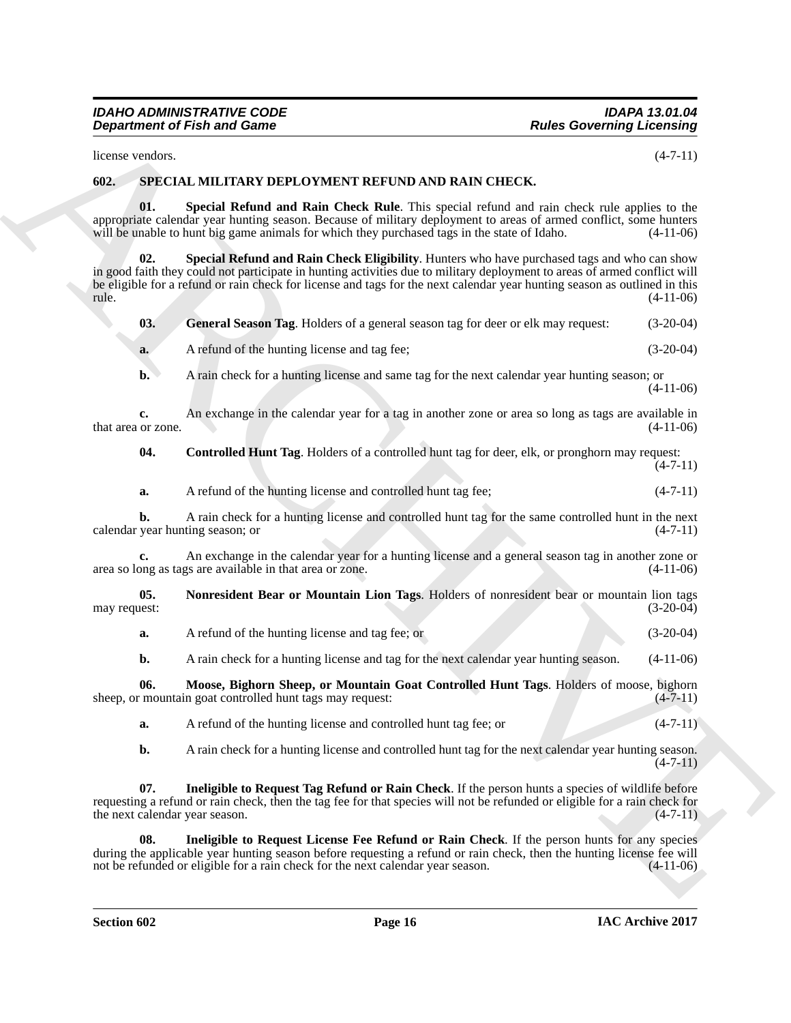#### <span id="page-15-9"></span><span id="page-15-8"></span><span id="page-15-7"></span><span id="page-15-6"></span><span id="page-15-5"></span><span id="page-15-4"></span><span id="page-15-3"></span><span id="page-15-2"></span><span id="page-15-1"></span><span id="page-15-0"></span>**602. SPECIAL MILITARY DEPLOYMENT REFUND AND RAIN CHECK.**

|                                        | <b>Department of Fish and Game</b>                                                                                                                                                                                                                                                                                                                    | <b>Rules Governing Licensing</b> |
|----------------------------------------|-------------------------------------------------------------------------------------------------------------------------------------------------------------------------------------------------------------------------------------------------------------------------------------------------------------------------------------------------------|----------------------------------|
| license vendors.                       |                                                                                                                                                                                                                                                                                                                                                       | $(4-7-11)$                       |
| 602.                                   | SPECIAL MILITARY DEPLOYMENT REFUND AND RAIN CHECK.                                                                                                                                                                                                                                                                                                    |                                  |
| 01.                                    | Special Refund and Rain Check Rule. This special refund and rain check rule applies to the<br>appropriate calendar year hunting season. Because of military deployment to areas of armed conflict, some hunters<br>will be unable to hunt big game animals for which they purchased tags in the state of Idaho.                                       | $(4-11-06)$                      |
| 02.<br>rule.                           | Special Refund and Rain Check Eligibility. Hunters who have purchased tags and who can show<br>in good faith they could not participate in hunting activities due to military deployment to areas of armed conflict will<br>be eligible for a refund or rain check for license and tags for the next calendar year hunting season as outlined in this | $(4-11-06)$                      |
| 03.                                    | General Season Tag. Holders of a general season tag for deer or elk may request:                                                                                                                                                                                                                                                                      | $(3-20-04)$                      |
| a.                                     | A refund of the hunting license and tag fee;                                                                                                                                                                                                                                                                                                          | $(3-20-04)$                      |
| $\mathbf{b}$ .                         | A rain check for a hunting license and same tag for the next calendar year hunting season; or                                                                                                                                                                                                                                                         | $(4-11-06)$                      |
| c.<br>that area or zone.               | An exchange in the calendar year for a tag in another zone or area so long as tags are available in                                                                                                                                                                                                                                                   | $(4-11-06)$                      |
| 04.                                    | Controlled Hunt Tag. Holders of a controlled hunt tag for deer, elk, or pronghorn may request:                                                                                                                                                                                                                                                        | $(4-7-11)$                       |
| a.                                     | A refund of the hunting license and controlled hunt tag fee;                                                                                                                                                                                                                                                                                          | $(4-7-11)$                       |
| b.<br>calendar year hunting season; or | A rain check for a hunting license and controlled hunt tag for the same controlled hunt in the next                                                                                                                                                                                                                                                   | $(4-7-11)$                       |
| c.                                     | An exchange in the calendar year for a hunting license and a general season tag in another zone or<br>area so long as tags are available in that area or zone.                                                                                                                                                                                        | $(4-11-06)$                      |
| 05.<br>may request:                    | Nonresident Bear or Mountain Lion Tags. Holders of nonresident bear or mountain lion tags                                                                                                                                                                                                                                                             | $(3-20-04)$                      |
| a.                                     | A refund of the hunting license and tag fee; or                                                                                                                                                                                                                                                                                                       | $(3-20-04)$                      |
| b.                                     | A rain check for a hunting license and tag for the next calendar year hunting season.                                                                                                                                                                                                                                                                 | $(4-11-06)$                      |
| 06.                                    | Moose, Bighorn Sheep, or Mountain Goat Controlled Hunt Tags. Holders of moose, bighorn<br>sheep, or mountain goat controlled hunt tags may request:                                                                                                                                                                                                   | $(4 - 11)$                       |
| a.                                     | A refund of the hunting license and controlled hunt tag fee; or                                                                                                                                                                                                                                                                                       | $(4-7-11)$                       |
| b.                                     | A rain check for a hunting license and controlled hunt tag for the next calendar year hunting season.                                                                                                                                                                                                                                                 | $(4-7-11)$                       |
| 07.<br>the next calendar year season.  | Ineligible to Request Tag Refund or Rain Check. If the person hunts a species of wildlife before<br>requesting a refund or rain check, then the tag fee for that species will not be refunded or eligible for a rain check for                                                                                                                        | $(4-7-11)$                       |
| 08.                                    | Ineligible to Request License Fee Refund or Rain Check. If the person hunts for any species<br>during the applicable year hunting season before requesting a refund or rain check, then the hunting license fee will<br>not be refunded or eligible for a rain check for the next calendar year season.                                               | $(4-11-06)$                      |
|                                        |                                                                                                                                                                                                                                                                                                                                                       |                                  |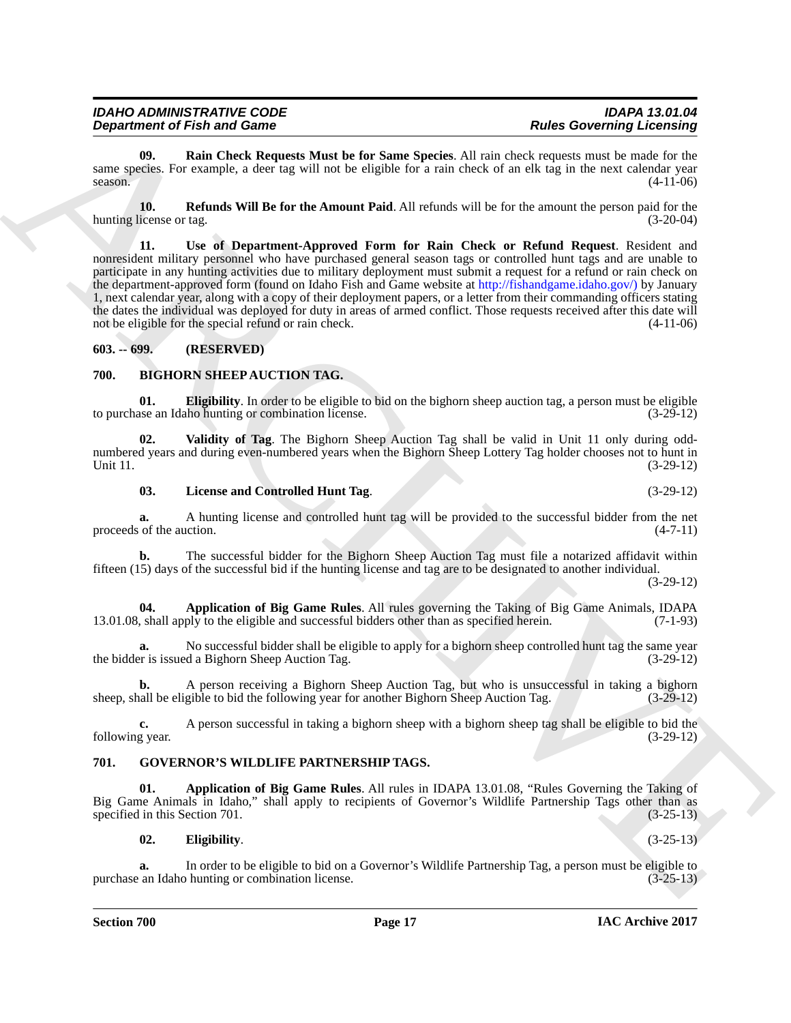| <b>IDAHO ADMINISTRATIVE CODE</b>   | <b>IDAPA 13.01.04</b>            |
|------------------------------------|----------------------------------|
| <b>Department of Fish and Game</b> | <b>Rules Governing Licensing</b> |

<span id="page-16-11"></span>**09. Rain Check Requests Must be for Same Species**. All rain check requests must be made for the same species. For example, a deer tag will not be eligible for a rain check of an elk tag in the next calendar year season.  $(4-11-06)$ 

<span id="page-16-13"></span><span id="page-16-12"></span>**10. Refunds Will Be for the Amount Paid**. All refunds will be for the amount the person paid for the hunting license or tag. (3-20-04)

**Department of Fish and Games 1.** That is that be for Some Species. All rain stead, means a much for Eucknosia<br>
same are the Counter of Repuberted Matter in the South Species All rain texts compute the state confident wit **11. Use of Department-Approved Form for Rain Check or Refund Request**. Resident and nonresident military personnel who have purchased general season tags or controlled hunt tags and are unable to participate in any hunting activities due to military deployment must submit a request for a refund or rain check on the department-approved form (found on Idaho Fish and Game website at http://fishandgame.idaho.gov/) by January 1, next calendar year, along with a copy of their deployment papers, or a letter from their commanding officers stating the dates the individual was deployed for duty in areas of armed conflict. Those requests received after this date will not be eligible for the special refund or rain check. (4-11-06)

#### <span id="page-16-0"></span>**603. -- 699. (RESERVED)**

#### <span id="page-16-3"></span><span id="page-16-1"></span>**700. BIGHORN SHEEP AUCTION TAG.**

<span id="page-16-5"></span>**01. Eligibility**. In order to be eligible to bid on the bighorn sheep auction tag, a person must be eligible ase an Idaho hunting or combination license. to purchase an Idaho hunting or combination license.

**02. Validity of Tag**. The Bighorn Sheep Auction Tag shall be valid in Unit 11 only during oddnumbered years and during even-numbered years when the Bighorn Sheep Lottery Tag holder chooses not to hunt in<br>(3-29-12) Unit 11. (3-29-12)

#### <span id="page-16-7"></span><span id="page-16-6"></span>**03. License and Controlled Hunt Tag**. (3-29-12)

**a.** A hunting license and controlled hunt tag will be provided to the successful bidder from the net of the auction.  $(4-7-11)$ proceeds of the auction.

**b.** The successful bidder for the Bighorn Sheep Auction Tag must file a notarized affidavit within fifteen (15) days of the successful bid if the hunting license and tag are to be designated to another individual.

(3-29-12)

<span id="page-16-4"></span>**04. Application of Big Game Rules**. All rules governing the Taking of Big Game Animals, IDAPA shall apply to the eligible and successful bidders other than as specified herein. (7-1-93) 13.01.08, shall apply to the eligible and successful bidders other than as specified herein.

No successful bidder shall be eligible to apply for a bighorn sheep controlled hunt tag the same year d a Bighorn Sheep Auction Tag. the bidder is issued a Bighorn Sheep Auction Tag.

**b.** A person receiving a Bighorn Sheep Auction Tag, but who is unsuccessful in taking a bighorn sheep, shall be eligible to bid the following year for another Bighorn Sheep Auction Tag. (3-29-12)

**c.** A person successful in taking a bighorn sheep with a bighorn sheep tag shall be eligible to bid the g year. (3-29-12) following year.

#### <span id="page-16-8"></span><span id="page-16-2"></span>**701. GOVERNOR'S WILDLIFE PARTNERSHIP TAGS.**

**01. Application of Big Game Rules**. All rules in IDAPA 13.01.08, "Rules Governing the Taking of Big Game Animals in Idaho," shall apply to recipients of Governor's Wildlife Partnership Tags other than as specified in this Section 701. (3-25-13)

#### <span id="page-16-10"></span><span id="page-16-9"></span>**02. Eligibility**. (3-25-13)

**a.** In order to be eligible to bid on a Governor's Wildlife Partnership Tag, a person must be eligible to an Idaho hunting or combination license. purchase an Idaho hunting or combination license.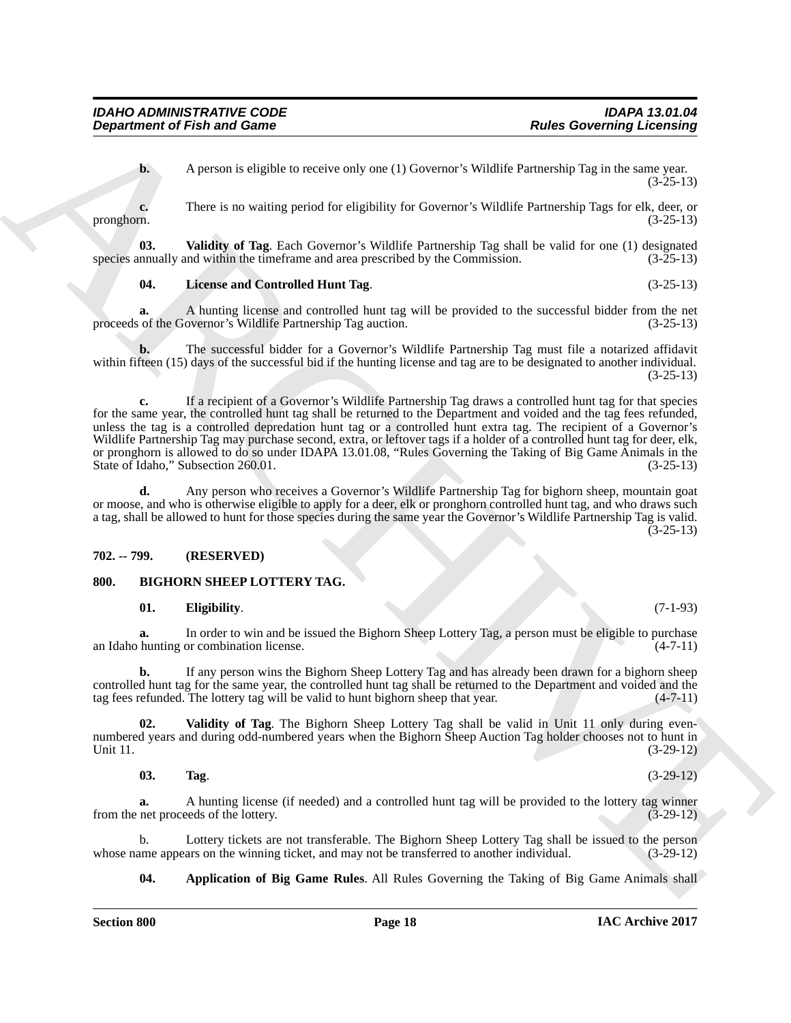*Department of Fish and Game* 

**b.** A person is eligible to receive only one (1) Governor's Wildlife Partnership Tag in the same year. (3-25-13)

**c.** There is no waiting period for eligibility for Governor's Wildlife Partnership Tags for elk, deer, or pronghorn. (3-25-13)

**03.** Validity of Tag. Each Governor's Wildlife Partnership Tag shall be valid for one (1) designated nnually and within the timeframe and area prescribed by the Commission. (3-25-13) species annually and within the timeframe and area prescribed by the Commission.

#### <span id="page-17-8"></span><span id="page-17-7"></span>**04. License and Controlled Hunt Tag**. (3-25-13)

**a.** A hunting license and controlled hunt tag will be provided to the successful bidder from the net of the Governor's Wildlife Partnership Tag auction. (3-25-13) proceeds of the Governor's Wildlife Partnership Tag auction.

**b.** The successful bidder for a Governor's Wildlife Partnership Tag must file a notarized affidavit within fifteen (15) days of the successful bid if the hunting license and tag are to be designated to another individual. (3-25-13)

**Department of Frain and Game**<br>
A person is simplicity to receive only out (1). Coverant's Whillie Partnessing Tax in the same year.<br>
There is no waiting period for eighthility for Greenen's Whilifie Partnessing Tag in th **c.** If a recipient of a Governor's Wildlife Partnership Tag draws a controlled hunt tag for that species for the same year, the controlled hunt tag shall be returned to the Department and voided and the tag fees refunded, unless the tag is a controlled depredation hunt tag or a controlled hunt extra tag. The recipient of a Governor's Wildlife Partnership Tag may purchase second, extra, or leftover tags if a holder of a controlled hunt tag for deer, elk, or pronghorn is allowed to do so under IDAPA 13.01.08, "Rules Governing the Taking of Big Game Animals in the State of Idaho," Subsection 260.01. (3-25-13)

**d.** Any person who receives a Governor's Wildlife Partnership Tag for bighorn sheep, mountain goat or moose, and who is otherwise eligible to apply for a deer, elk or pronghorn controlled hunt tag, and who draws such a tag, shall be allowed to hunt for those species during the same year the Governor's Wildlife Partnership Tag is valid. (3-25-13)

#### <span id="page-17-0"></span>**702. -- 799. (RESERVED)**

#### <span id="page-17-1"></span>**800. BIGHORN SHEEP LOTTERY TAG.**

#### <span id="page-17-4"></span><span id="page-17-2"></span>**01. Eligibility**. (7-1-93)

**a.** In order to win and be issued the Bighorn Sheep Lottery Tag, a person must be eligible to purchase an Idaho hunting or combination license. (4-7-11)

**b.** If any person wins the Bighorn Sheep Lottery Tag and has already been drawn for a bighorn sheep controlled hunt tag for the same year, the controlled hunt tag shall be returned to the Department and voided and the tag fees refunded. The lottery tag will be valid to hunt bighorn sheep that year. (4-7-11)

**02. Validity of Tag**. The Bighorn Sheep Lottery Tag shall be valid in Unit 11 only during evennumbered years and during odd-numbered years when the Bighorn Sheep Auction Tag holder chooses not to hunt in Unit 11. (3-29-12)

#### <span id="page-17-6"></span><span id="page-17-5"></span>**03. Tag**. (3-29-12)

**a.** A hunting license (if needed) and a controlled hunt tag will be provided to the lottery tag winner from the net proceeds of the lottery. (3-29-12) (3-29-12)

b. Lottery tickets are not transferable. The Bighorn Sheep Lottery Tag shall be issued to the person ame appears on the winning ticket, and may not be transferred to another individual. (3-29-12) whose name appears on the winning ticket, and may not be transferred to another individual.

<span id="page-17-3"></span>**04. Application of Big Game Rules**. All Rules Governing the Taking of Big Game Animals shall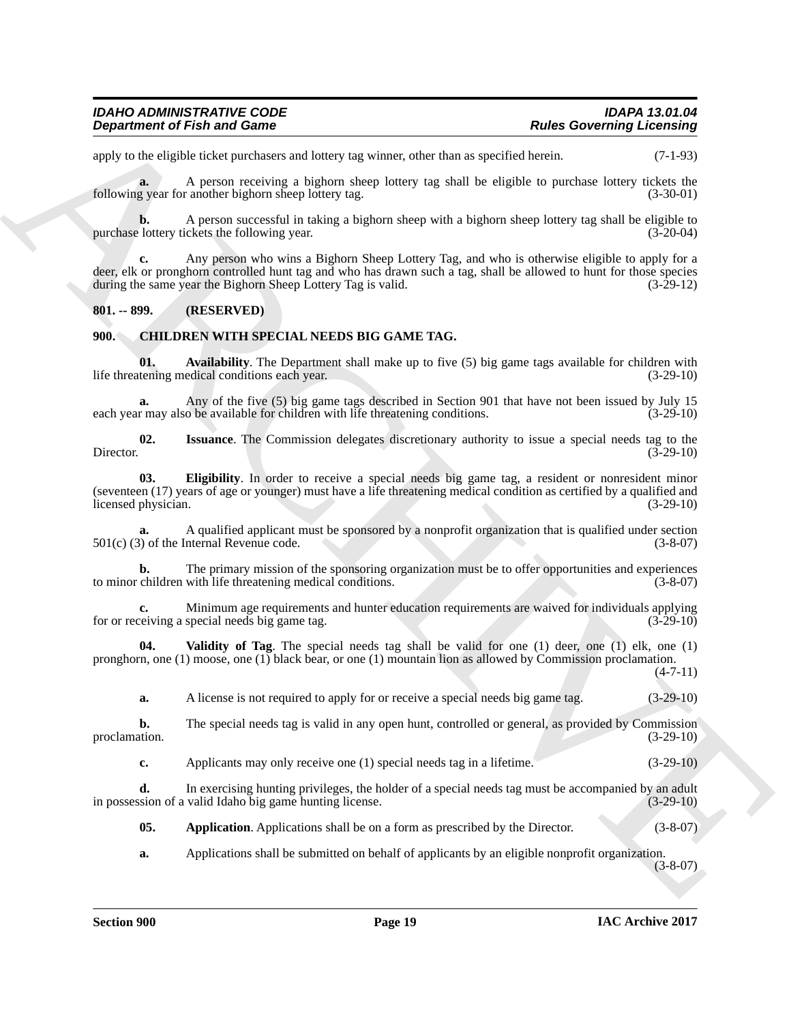| <b>IDAHO ADMINISTRATIVE CODE</b>   | <b>IDAPA 13.01.04</b>            |
|------------------------------------|----------------------------------|
| <b>Department of Fish and Game</b> | <b>Rules Governing Licensing</b> |

apply to the eligible ticket purchasers and lottery tag winner, other than as specified herein. (7-1-93)

**a.** A person receiving a bighorn sheep lottery tag shall be eligible to purchase lottery tickets the following year for another bighorn sheep lottery tag. (3-30-01)

**b.** A person successful in taking a bighorn sheep with a bighorn sheep lottery tag shall be eligible to be lottery tickets the following year. (3-20-04) purchase lottery tickets the following year.

**Department of Fish and Game<br>
supportines of Fish and Game<br>
supportines of Fish and Game<br>
supportines and the sum of the sum of the sum of the sum of the sum of the sum of the sum of the sum of the sum<br>
support in the sum c.** Any person who wins a Bighorn Sheep Lottery Tag, and who is otherwise eligible to apply for a deer, elk or pronghorn controlled hunt tag and who has drawn such a tag, shall be allowed to hunt for those species during the same year the Bighorn Sheep Lottery Tag is valid. (3-29-12)

#### <span id="page-18-0"></span>**801. -- 899. (RESERVED)**

#### <span id="page-18-2"></span><span id="page-18-1"></span>**900. CHILDREN WITH SPECIAL NEEDS BIG GAME TAG.**

<span id="page-18-4"></span>**01.** Availability. The Department shall make up to five (5) big game tags available for children with tening medical conditions each year. (3-29-10) life threatening medical conditions each year.

**a.** Any of the five (5) big game tags described in Section 901 that have not been issued by July 15 each year may also be available for children with life threatening conditions.

<span id="page-18-6"></span>**02.** Issuance. The Commission delegates discretionary authority to issue a special needs tag to the Director. (3-29-10) Director. (3-29-10)

<span id="page-18-5"></span>**03. Eligibility**. In order to receive a special needs big game tag, a resident or nonresident minor (seventeen (17) years of age or younger) must have a life threatening medical condition as certified by a qualified and licensed physician. (3-29-10)

**a.** A qualified applicant must be sponsored by a nonprofit organization that is qualified under section 501(c) (3) of the Internal Revenue code. (3-8-07)

**b.** The primary mission of the sponsoring organization must be to offer opportunities and experiences to minor children with life threatening medical conditions. (3-8-07)

**c.** Minimum age requirements and hunter education requirements are waived for individuals applying eiving a special needs big game tag. for or receiving a special needs big game tag.

**04. Validity of Tag**. The special needs tag shall be valid for one (1) deer, one (1) elk, one (1) pronghorn, one (1) moose, one (1) black bear, or one (1) mountain lion as allowed by Commission proclamation.  $(4 - 7 - 11)$ 

<span id="page-18-7"></span>**a.** A license is not required to apply for or receive a special needs big game tag.  $(3-29-10)$ 

**b.** The special needs tag is valid in any open hunt, controlled or general, as provided by Commission proclamation.  $(3-29-10)$ proclamation.  $(3-29-10)$ 

**c.** Applicants may only receive one (1) special needs tag in a lifetime.  $(3-29-10)$ 

**d.** In exercising hunting privileges, the holder of a special needs tag must be accompanied by an adult sion of a valid Idaho big game hunting license. in possession of a valid Idaho big game hunting license.

<span id="page-18-3"></span>**05.** Application. Applications shall be on a form as prescribed by the Director. (3-8-07)

**a.** Applications shall be submitted on behalf of applicants by an eligible nonprofit organization.

(3-8-07)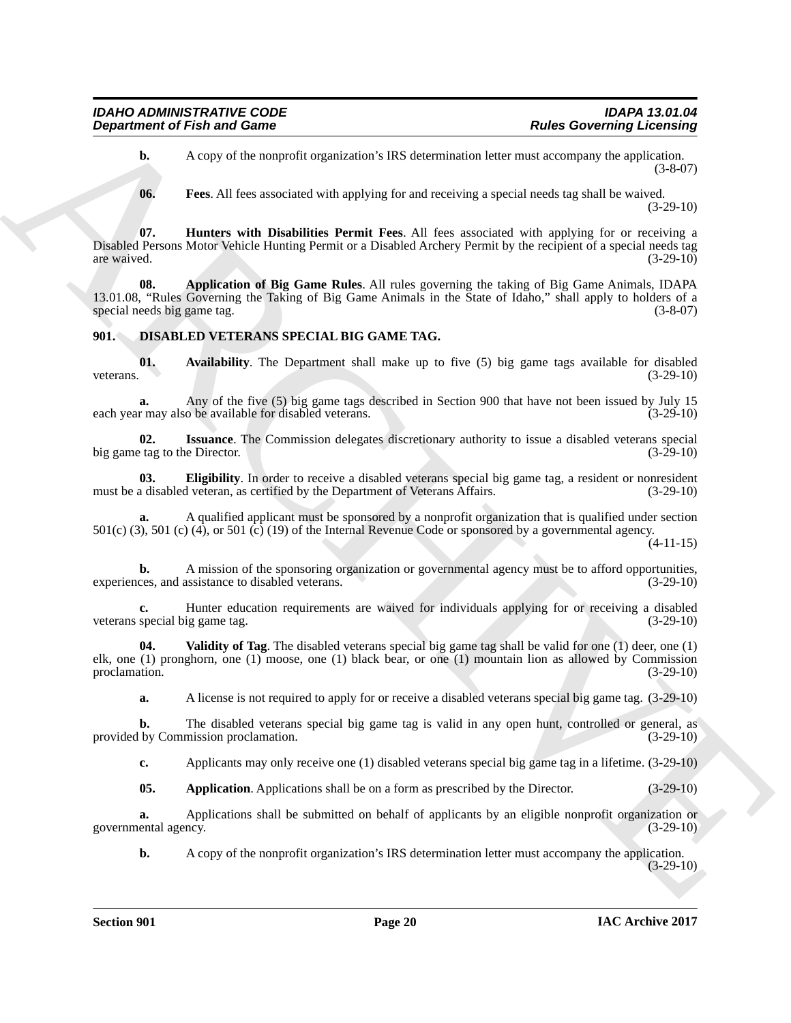**b.** A copy of the nonprofit organization's IRS determination letter must accompany the application. (3-8-07)

<span id="page-19-3"></span><span id="page-19-2"></span><span id="page-19-1"></span>**06. Fees**. All fees associated with applying for and receiving a special needs tag shall be waived. (3-29-10)

**07. Hunters with Disabilities Permit Fees**. All fees associated with applying for or receiving a Disabled Persons Motor Vehicle Hunting Permit or a Disabled Archery Permit by the recipient of a special needs tag are waived.  $(3-29-10)$ 

**Department of Fish and Game<br>
A Lates Governing Licensing<br>
(A Lates Governing Licensing<br>
(A Lates and Southern Archives and Southern Archives and Southern Archives and Southern Archives and Southern Archives and Southern 08. Application of Big Game Rules**. All rules governing the taking of Big Game Animals, IDAPA 13.01.08, "Rules Governing the Taking of Big Game Animals in the State of Idaho," shall apply to holders of a special needs big game tag.

#### <span id="page-19-4"></span><span id="page-19-0"></span>**901. DISABLED VETERANS SPECIAL BIG GAME TAG.**

<span id="page-19-6"></span>**01.** Availability. The Department shall make up to five (5) big game tags available for disabled veterans. (3-29-10) veterans.  $(3-29-10)$ 

**a.** Any of the five (5) big game tags described in Section 900 that have not been issued by July 15 r may also be available for disabled veterans. (3-29-10) each year may also be available for disabled veterans.

<span id="page-19-8"></span>**02.** Issuance. The Commission delegates discretionary authority to issue a disabled veterans special tag to the Director. (3-29-10) big game tag to the Director.

<span id="page-19-7"></span>**03. Eligibility**. In order to receive a disabled veterans special big game tag, a resident or nonresident a disabled veteran, as certified by the Department of Veterans Affairs. (3-29-10) must be a disabled veteran, as certified by the Department of Veterans Affairs.

**a.** A qualified applicant must be sponsored by a nonprofit organization that is qualified under section 501(c) (3), 501 (c) (4), or 501 (c) (19) of the Internal Revenue Code or sponsored by a governmental agency.

(4-11-15)

**b.** A mission of the sponsoring organization or governmental agency must be to afford opportunities, experiences, and assistance to disabled veterans. (3-29-10)

**c.** Hunter education requirements are waived for individuals applying for or receiving a disabled special big game tag.  $(3-29-10)$ veterans special big game tag.

**04. Validity of Tag**. The disabled veterans special big game tag shall be valid for one (1) deer, one (1) elk, one (1) pronghorn, one (1) moose, one (1) black bear, or one (1) mountain lion as allowed by Commission proclamation. (3-29-10)

<span id="page-19-9"></span>**a.** A license is not required to apply for or receive a disabled veterans special big game tag. (3-29-10)

**b.** The disabled veterans special big game tag is valid in any open hunt, controlled or general, as (by Commission proclamation.  $(3-29-10)$ ) provided by Commission proclamation.

**c.** Applicants may only receive one (1) disabled veterans special big game tag in a lifetime. (3-29-10)

<span id="page-19-5"></span>**05. Application**. Applications shall be on a form as prescribed by the Director. (3-29-10)

**a.** Applications shall be submitted on behalf of applicants by an eligible nonprofit organization or governmental agency. (3-29-10)

**b.** A copy of the nonprofit organization's IRS determination letter must accompany the application. (3-29-10)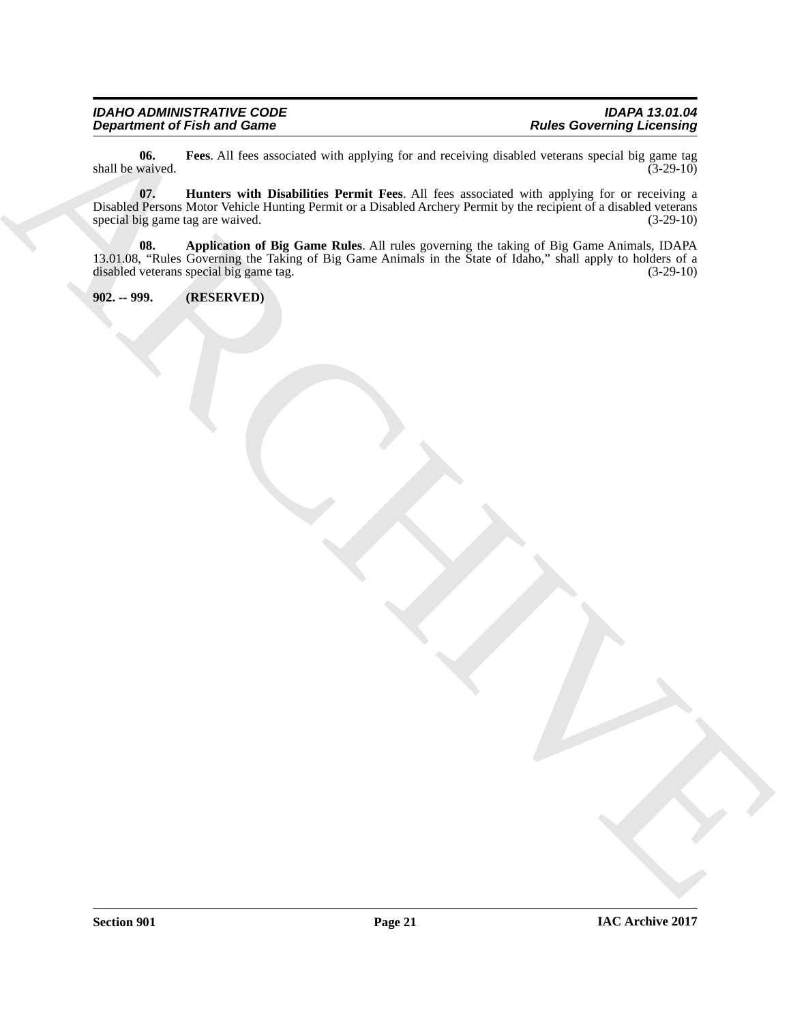## *IDAHO ADMINISTRATIVE CODE IDAPA 13.01.04*

<span id="page-20-2"></span>**06.** Fees. All fees associated with applying for and receiving disabled veterans special big game tag waived.  $(3-29-10)$ shall be waived.

<span id="page-20-3"></span><span id="page-20-1"></span>**07. Hunters with Disabilities Permit Fees**. All fees associated with applying for or receiving a Disabled Persons Motor Vehicle Hunting Permit or a Disabled Archery Permit by the recipient of a disabled veterans special big game tag are waived. (3-29-10) special big game tag are waived.

Department of Fish and Game<br>
And the Second Hart is united with payoffs on and accelerated value and accelerated with the game of the game<br>
This contribution that the second the second with the second with the second with **08. Application of Big Game Rules**. All rules governing the taking of Big Game Animals, IDAPA 13.01.08, "Rules Governing the Taking of Big Game Animals in the State of Idaho," shall apply to holders of a disabled veterans special big game tag. (3-29-10)

<span id="page-20-0"></span>**902. -- 999. (RESERVED)**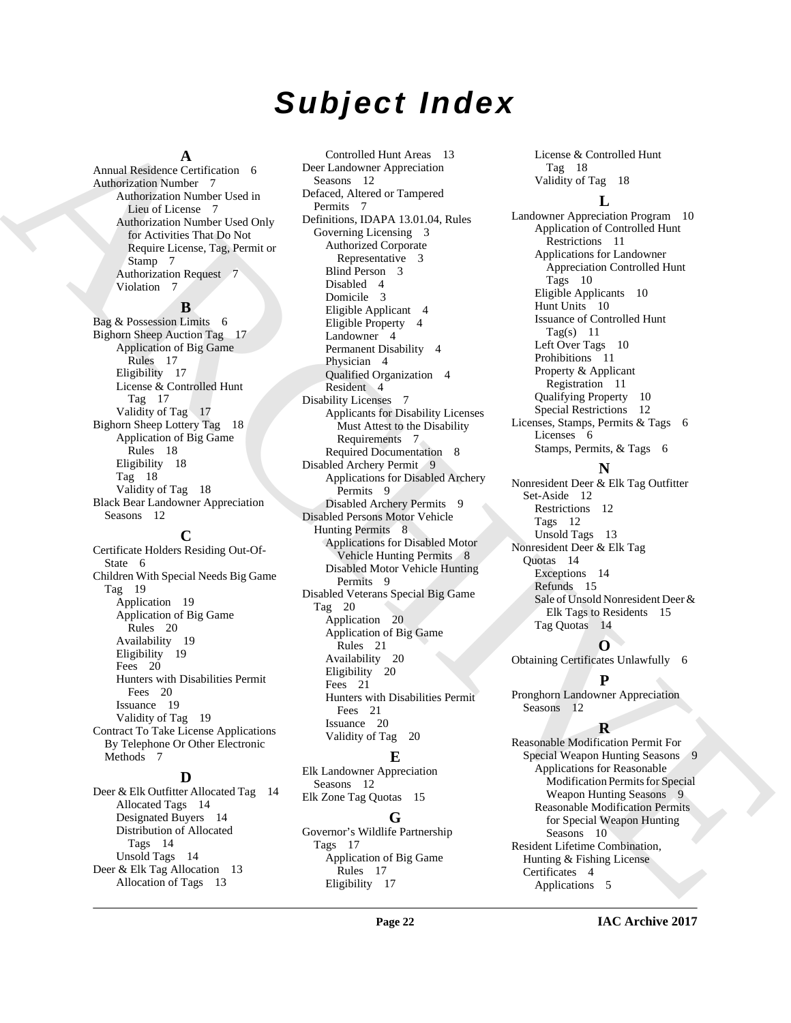# *Subject Index*

#### **A**

Annual Residence Certification 6 Authorization Number 7 Authorization Number Used in Lieu of License 7 Authorization Number Used Only for Activities That Do Not Require License, Tag, Permit or Stamp 7 Authorization Request 7 Violation 7

#### **B**

Bag & Possession Limits 6 Bighorn Sheep Auction Tag 17 Application of Big Game Rules 17 Eligibility 17 License & Controlled Hunt Tag 17 Validity of Tag 17 Bighorn Sheep Lottery Tag 18 Application of Big Game Rules 18 Eligibility 18 Tag 18 Validity of Tag 18 Black Bear Landowner Appreciation Seasons 12

#### **C**

Certificate Holders Residing Out-Of-State 6 Children With Special Needs Big Game Tag 19 Application 19 Application of Big Game Rules 20 Availability 19 Eligibility 19 Fees 20 Hunters with Disabilities Permit Fees 20 Issuance 19 Validity of Tag 19 Contract To Take License Applications By Telephone Or Other Electronic Methods 7

#### **D**

Deer & Elk Outfitter Allocated Tag 14 Allocated Tags 14 Designated Buyers 14 Distribution of Allocated Tags 14 Unsold Tags 14 Deer & Elk Tag Allocation 13 Allocation of Tags 13

Annual Kemikovičeta (1911. – George Marchives Actual Marchives Actual Marchives Actual Marchives Annual Marchives Annual Marchives Annual Marchives Annual Marchives Annual Marchives Annual Marchives Annual Marchives Annua Controlled Hunt Areas 13 Deer Landowner Appreciation Seasons 12 Defaced, Altered or Tampered Permits 7 Definitions, IDAPA 13.01.04, Rules Governing Licensing 3 Authorized Corporate Representative 3 Blind Person 3 Disabled 4 Domicile 3 Eligible Applicant 4 Eligible Property 4 Landowner 4 Permanent Disability 4 Physician 4 Qualified Organization 4 Resident 4 Disability Licenses 7 Applicants for Disability Licenses Must Attest to the Disability Requirements 7 Required Documentation 8 Disabled Archery Permit 9 Applications for Disabled Archery Permits 9 Disabled Archery Permits 9 Disabled Persons Motor Vehicle Hunting Permits 8 Applications for Disabled Motor Vehicle Hunting Permits 8 Disabled Motor Vehicle Hunting Permits 9 Disabled Veterans Special Big Game Tag 20 Application 20 Application of Big Game Rules 21 Availability 20 Eligibility 20 Fees 21 Hunters with Disabilities Permit Fees 21 Issuance 20 Validity of Tag 20

#### **E**

Elk Landowner Appreciation Seasons 12 Elk Zone Tag Quotas 15

#### **G**

Governor's Wildlife Partnership Tags 17 Application of Big Game Rules 17 Eligibility 17

License & Controlled Hunt Tag 18 Validity of Tag 18

#### **L**

Landowner Appreciation Program 10 Application of Controlled Hunt Restrictions 11 Applications for Landowner Appreciation Controlled Hunt Tags 10 Eligible Applicants 10 Hunt Units 10 Issuance of Controlled Hunt Tag(s)  $11$ Left Over Tags 10 Prohibitions 11 Property & Applicant Registration 11 Qualifying Property 10 Special Restrictions 12 Licenses, Stamps, Permits & Tags 6 Licenses 6 Stamps, Permits, & Tags 6

#### **N**

Nonresident Deer & Elk Tag Outfitter Set-Aside 12 Restrictions 12 Tags 12 Unsold Tags 13 Nonresident Deer & Elk Tag Quotas 14 Exceptions 14 Refunds 15 Sale of Unsold Nonresident Deer & Elk Tags to Residents 15 Tag Quotas 14

**O**

Obtaining Certificates Unlawfully 6

#### **P**

Pronghorn Landowner Appreciation Seasons 12

#### **R**

Reasonable Modification Permit For Special Weapon Hunting Seasons 9 Applications for Reasonable Modification Permits for Special Weapon Hunting Seasons 9 Reasonable Modification Permits for Special Weapon Hunting Seasons 10 Resident Lifetime Combination, Hunting & Fishing License Certificates 4 Applications 5

**IAC Archive 2017**